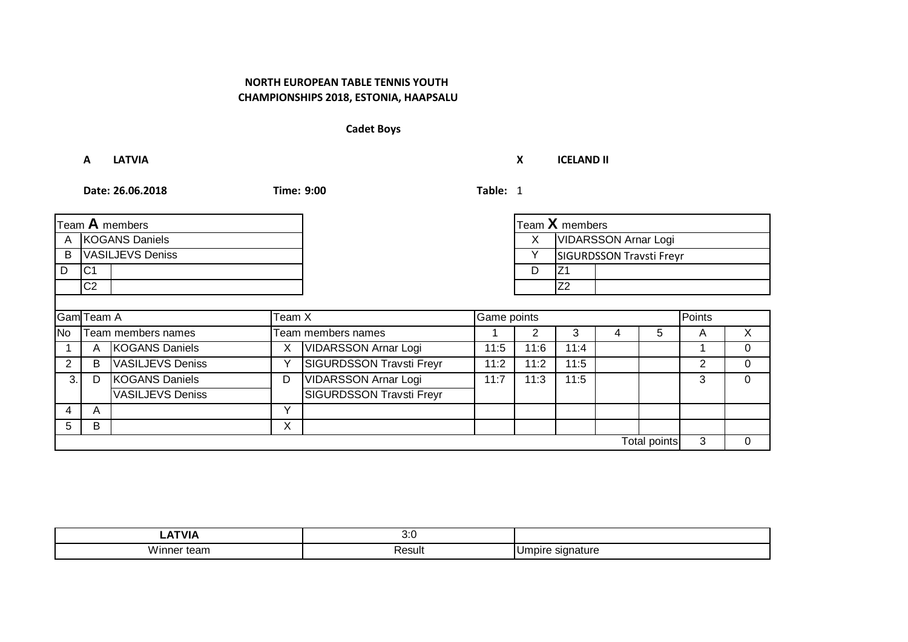# **Cadet Boys**

**A LATVIA X ICELAND II**

| Team A members       |                |                         |              |                                 |      | Team X members              |                |                                 |                     |                |          |
|----------------------|----------------|-------------------------|--------------|---------------------------------|------|-----------------------------|----------------|---------------------------------|---------------------|----------------|----------|
| A                    | KOGANS Daniels |                         |              |                                 | X    | <b>VIDARSSON Arnar Logi</b> |                |                                 |                     |                |          |
| B                    |                | <b>VASILJEVS Deniss</b> |              |                                 |      |                             |                | <b>SIGURDSSON Travsti Freyr</b> |                     |                |          |
| D                    | IC1            |                         |              |                                 |      | D                           | Z1             |                                 |                     |                |          |
|                      | C <sub>2</sub> |                         |              |                                 |      |                             | Z <sub>2</sub> |                                 |                     |                |          |
|                      |                |                         |              |                                 |      |                             |                |                                 |                     |                |          |
| Gam Team A<br>Team X |                |                         |              | Game points                     |      |                             |                |                                 |                     | Points         |          |
| No                   |                | Team members names      |              | Team members names              |      | 2                           | 3              | 4                               | 5                   | A              | X        |
|                      | A              | <b>KOGANS Daniels</b>   | Χ            | VIDARSSON Arnar Logi            | 11:5 | 11:6                        | 11:4           |                                 |                     |                | $\Omega$ |
| 2                    | B              | <b>VASILJEVS Deniss</b> |              | <b>SIGURDSSON Travsti Freyr</b> | 11:2 | 11:2                        | 11:5           |                                 |                     | $\overline{2}$ | 0        |
| 3.1                  | D              | <b>KOGANS Daniels</b>   | D            | <b>VIDARSSON Arnar Logi</b>     | 11:7 | 11:3                        | 11:5           |                                 |                     | 3              | $\Omega$ |
|                      |                | <b>VASILJEVS Deniss</b> |              | <b>SIGURDSSON Travsti Freyr</b> |      |                             |                |                                 |                     |                |          |
| 4                    | A              |                         | $\checkmark$ |                                 |      |                             |                |                                 |                     |                |          |
| 5                    | B              |                         | X            |                                 |      |                             |                |                                 |                     |                |          |
|                      |                |                         |              |                                 |      |                             |                |                                 | <b>Total points</b> | 3              | $\Omega$ |

| \T\/I A                           | .<br>v.J<br>$ -$ |              |
|-----------------------------------|------------------|--------------|
| $\sim$<br>Winner<br>- - -<br>tean | sult             | .<br>$\cdot$ |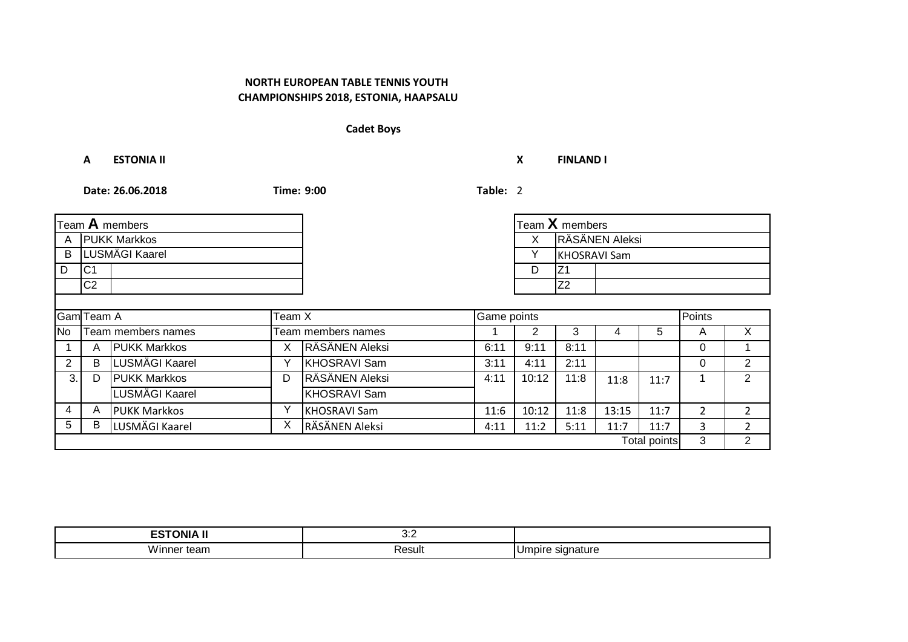# **Cadet Boys**

**A ESTONIA II X FINLAND I**

|                      |                     | Team $A$ members    |   |                                   |      | Team X members      |                |       |              |                |                |
|----------------------|---------------------|---------------------|---|-----------------------------------|------|---------------------|----------------|-------|--------------|----------------|----------------|
| A                    | <b>PUKK Markkos</b> |                     |   |                                   |      | X                   | RÄSÄNEN Aleksi |       |              |                |                |
| B                    |                     | LUSMÄGI Kaarel      |   |                                   |      | <b>KHOSRAVI Sam</b> |                |       |              |                |                |
| D                    | IC1                 |                     |   |                                   |      | D                   | IZ1            |       |              |                |                |
|                      | C <sub>2</sub>      |                     |   |                                   |      |                     | Z <sub>2</sub> |       |              |                |                |
|                      |                     |                     |   |                                   |      |                     |                |       |              |                |                |
| Gam Team A<br>Team X |                     |                     |   | Game points                       |      |                     | Points         |       |              |                |                |
| <b>No</b>            |                     | Team members names  |   | 2<br>3<br>Team members names<br>4 |      |                     | 5              | A     | $\mathsf{X}$ |                |                |
|                      | A                   | <b>PUKK Markkos</b> | X | <b>RÄSÄNEN Aleksi</b>             | 6:11 | 9:11                | 8:11           |       |              | 0              |                |
| $\overline{2}$       | B                   | LUSMÄGI Kaarel      |   | <b>KHOSRAVI Sam</b>               | 3:11 | 4:11                | 2:11           |       |              | 0              | 2              |
| 3.1                  | D                   | <b>PUKK Markkos</b> | D | RÄSÄNEN Aleksi                    | 4:11 | 10:12               | 11:8           | 11:8  | 11:7         |                | 2              |
|                      |                     | LUSMÄGI Kaarel      |   | KHOSRAVI Sam                      |      |                     |                |       |              |                |                |
| 4                    | A                   | <b>PUKK Markkos</b> |   | <b>KHOSRAVI Sam</b>               | 11:6 | 10:12               | 11:8           | 13:15 | 11:7         | $\overline{2}$ | $\overline{2}$ |
| 5                    | B                   | LUSMÄGI Kaarel      | X | RÄSÄNEN Aleksi                    | 4:11 | 11:2                | 5:11           | 11:7  | 11:7         | 3              | $\overline{2}$ |
|                      |                     |                     |   |                                   |      |                     |                |       | Total points | 3              | $\overline{2}$ |

| ------<br>--<br>ומנ | ◡.<br>$\sim$ $\sim$ |                        |
|---------------------|---------------------|------------------------|
| .<br>Winner<br>team | ~~<br>esult         | .oirc<br>ature.<br>. . |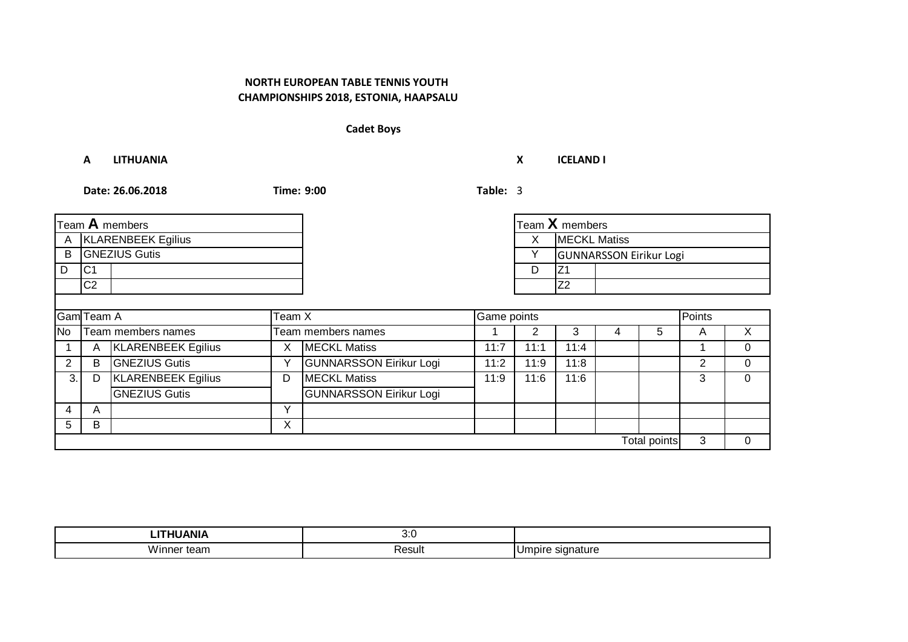# **Cadet Boys**

**A LITHUANIA X ICELAND I**

|                     |                      | Team A members            |              |                                |      |          | Team $X$ members    |                                |              |   |          |
|---------------------|----------------------|---------------------------|--------------|--------------------------------|------|----------|---------------------|--------------------------------|--------------|---|----------|
| A                   |                      | <b>KLARENBEEK Egilius</b> |              |                                |      | X        | <b>MECKL Matiss</b> |                                |              |   |          |
| B                   | <b>GNEZIUS Gutis</b> |                           |              |                                |      | Υ        |                     | <b>GUNNARSSON Eirikur Logi</b> |              |   |          |
| l D                 | IC1                  |                           |              |                                |      | D<br>IZ1 |                     |                                |              |   |          |
|                     | C <sub>2</sub>       |                           |              |                                |      |          | Z <sub>2</sub>      |                                |              |   |          |
|                     |                      |                           |              |                                |      |          |                     |                                |              |   |          |
| GamTeam A<br>Team X |                      |                           |              | Game points                    |      |          | Points              |                                |              |   |          |
| No                  |                      | Team members names        |              | Team members names             |      | 2        | 3                   |                                | 5            | A | X        |
|                     | A                    | <b>KLARENBEEK Egilius</b> | X            | <b>MECKL Matiss</b>            | 11:7 | 11:1     | 11:4                |                                |              |   | $\Omega$ |
| 2                   | B                    | <b>GNEZIUS Gutis</b>      |              | <b>GUNNARSSON Eirikur Logi</b> | 11:2 | 11:9     | 11:8                |                                |              | 2 | $\Omega$ |
| 3.                  | D                    | <b>KLARENBEEK Egilius</b> | D            | <b>MECKL Matiss</b>            | 11:9 | 11:6     | 11:6                |                                |              | 3 | 0        |
|                     |                      | <b>GNEZIUS Gutis</b>      |              | <b>GUNNARSSON Eirikur Logi</b> |      |          |                     |                                |              |   |          |
| 4                   | A                    |                           | $\checkmark$ |                                |      |          |                     |                                |              |   |          |
| 5                   | B                    |                           | Χ            |                                |      |          |                     |                                |              |   |          |
|                     |                      |                           |              |                                |      |          |                     |                                | Total points | 3 | $\Omega$ |

| .<br>м.             | .<br>v.J |                |
|---------------------|----------|----------------|
| .<br>Winner<br>tean | esult    | ашн<br>$\cdot$ |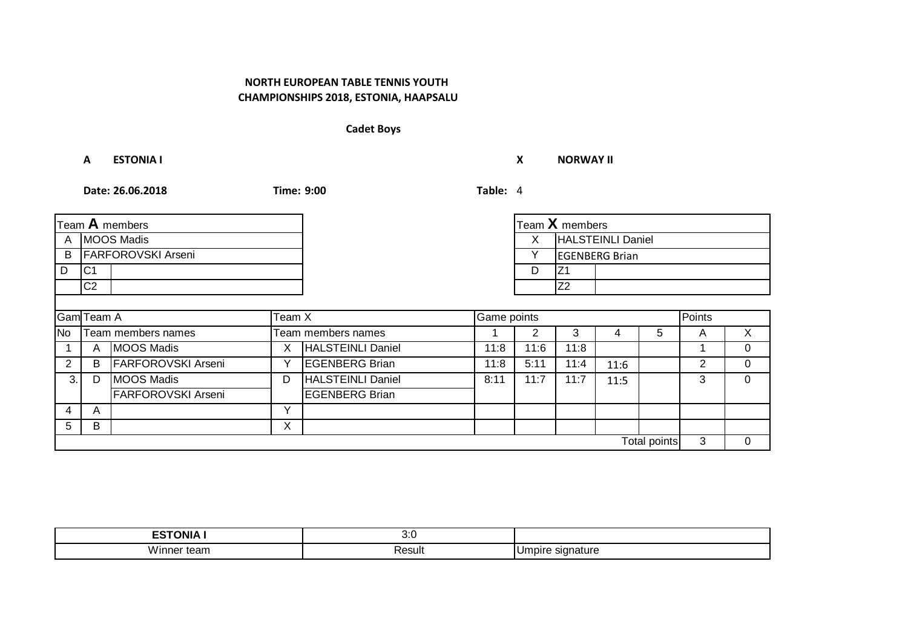# **Cadet Boys**

**A ESTONIA I X NORWAY II**

|           |                             | Team A members            |              |                          |             | Team X members |                   |                       |              |   |                |
|-----------|-----------------------------|---------------------------|--------------|--------------------------|-------------|----------------|-------------------|-----------------------|--------------|---|----------------|
| Α         | MOOS Madis                  |                           |              |                          |             | X              | HALSTEINLI Daniel |                       |              |   |                |
| В         |                             | <b>FARFOROVSKI Arseni</b> |              |                          |             | Υ              |                   | <b>EGENBERG Brian</b> |              |   |                |
| D         | IC1                         |                           |              |                          |             | D              | IZ1               |                       |              |   |                |
|           | C <sub>2</sub>              |                           |              |                          |             |                | Z2                |                       |              |   |                |
|           |                             |                           |              |                          |             |                |                   |                       |              |   |                |
|           | <b>Gam</b> Team A<br>Team X |                           |              |                          | Game points |                |                   | Points                |              |   |                |
| <b>No</b> |                             | Team members names        |              | Team members names       |             | 2              | 3                 | 4                     | 5            | A | X              |
|           | A                           | <b>MOOS Madis</b>         | X            | HALSTEINLI Daniel        | 11:8        | 11:6           | 11:8              |                       |              |   | $\mathbf{0}$   |
| 2         | B                           | <b>FARFOROVSKI Arseni</b> | ٧            | <b>EGENBERG Brian</b>    | 11:8        | 5:11           | 11:4              | 11:6                  |              | 2 | $\overline{0}$ |
| 3.1       | D                           | <b>MOOS Madis</b>         | D            | <b>HALSTEINLI Daniel</b> | 8:11        | 11:7           | 11:7              | 11:5                  |              | 3 | $\Omega$       |
|           |                             | <b>FARFOROVSKI Arseni</b> |              | <b>EGENBERG Brian</b>    |             |                |                   |                       |              |   |                |
| 4         | A                           |                           | $\checkmark$ |                          |             |                |                   |                       |              |   |                |
| 5         | B                           |                           | X            |                          |             |                |                   |                       |              |   |                |
|           |                             |                           |              |                          |             |                |                   |                       | Total points | 3 | $\Omega$       |

| ------<br>3NI Z<br>$-$        | ,,,<br>v.v    |                         |
|-------------------------------|---------------|-------------------------|
| .<br>ισαιι<br><b>VII</b><br>. | .∍ە ⊌<br>лемп | ubir^<br>รแ.<br>$\cdot$ |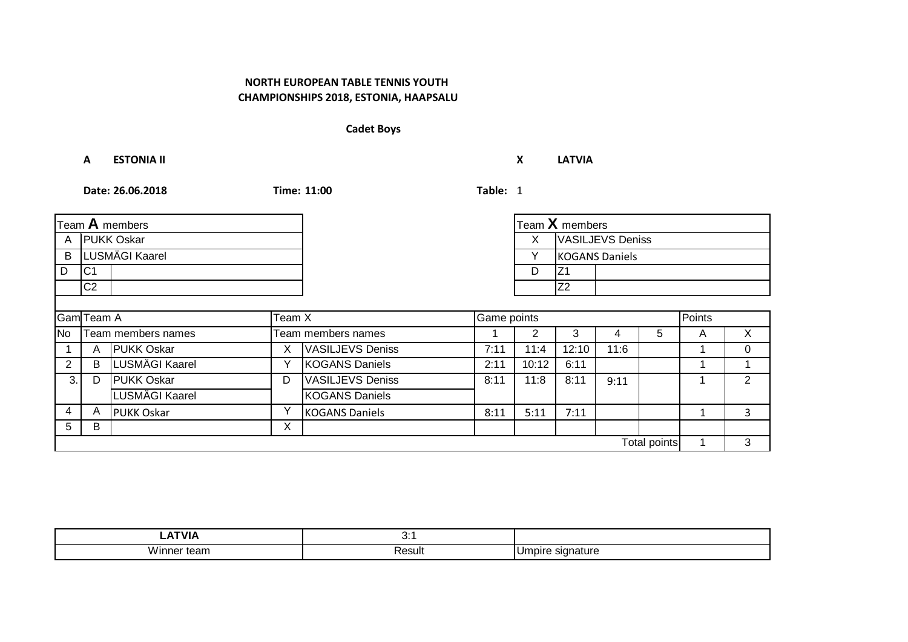# **Cadet Boys**

**A ESTONIA II X LATVIA**

|                     |                   | Team A members     |   |                         |      | Team $X$ members    |                         |                       |                     |   |              |
|---------------------|-------------------|--------------------|---|-------------------------|------|---------------------|-------------------------|-----------------------|---------------------|---|--------------|
| A                   | <b>PUKK Oskar</b> |                    |   |                         |      | X                   | <b>VASILJEVS Deniss</b> |                       |                     |   |              |
| B                   | LUSMÄGI Kaarel    |                    |   |                         |      | Y                   |                         | <b>KOGANS Daniels</b> |                     |   |              |
| D                   | IC1               |                    |   |                         |      | D<br>Z <sub>1</sub> |                         |                       |                     |   |              |
|                     | C <sub>2</sub>    |                    |   |                         |      |                     | Z2                      |                       |                     |   |              |
|                     |                   |                    |   |                         |      |                     |                         |                       |                     |   |              |
| GamTeam A<br>Team X |                   |                    |   | Game points             |      |                     |                         | Points                |                     |   |              |
| <b>No</b>           |                   | Team members names |   | Team members names      |      | 2                   | 3                       | 4                     | 5                   | A | $\mathsf{X}$ |
|                     | A                 | <b>PUKK Oskar</b>  | X | <b>VASILJEVS Deniss</b> | 7:11 | 11:4                | 12:10                   | 11:6                  |                     |   | $\Omega$     |
| 2                   | B                 | LUSMÄGI Kaarel     | Υ | <b>KOGANS Daniels</b>   | 2:11 | 10:12               | 6:11                    |                       |                     |   |              |
| 3.                  | D                 | <b>PUKK Oskar</b>  | D | <b>VASILJEVS Deniss</b> | 8:11 | 11:8                | 8:11                    | 9:11                  |                     |   | 2            |
|                     |                   | LUSMÄGI Kaarel     |   | <b>KOGANS Daniels</b>   |      |                     |                         |                       |                     |   |              |
| 4                   | A                 | <b>PUKK Oskar</b>  | Y | <b>KOGANS Daniels</b>   | 8:11 | 5:11                | 7:11                    |                       |                     |   | 3            |
| 5                   | B                 |                    | X |                         |      |                     |                         |                       |                     |   |              |
|                     |                   |                    |   |                         |      |                     |                         |                       | <b>Total points</b> |   | 3            |

| <b>ATVIA</b>              | . .<br>$\mathsf{v}$ .      |                                   |
|---------------------------|----------------------------|-----------------------------------|
| .<br>team<br>V II<br>. שו | Resul<br>$\qquad \qquad -$ | signature<br>udirc<br>. ٻي<br>. . |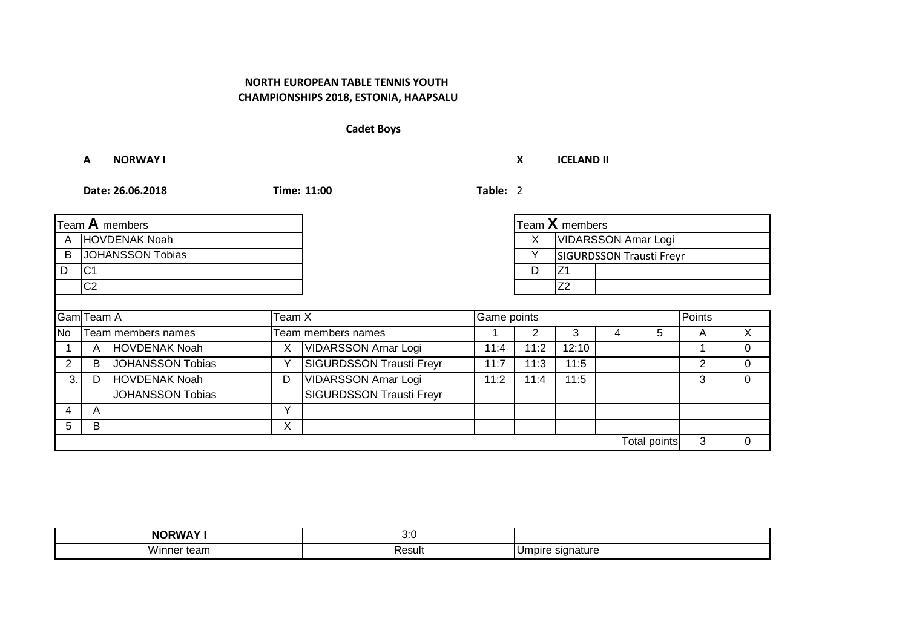# **Cadet Boys**

**A NORWAY I X ICELAND II**

|                      |                | Team A members          |   |                                 |      |        | Team X members                  |  |                     |   |          |
|----------------------|----------------|-------------------------|---|---------------------------------|------|--------|---------------------------------|--|---------------------|---|----------|
| A                    | HOVDENAK Noah  |                         |   |                                 |      | X      | <b>VIDARSSON Arnar Logi</b>     |  |                     |   |          |
| B                    |                | <b>JOHANSSON Tobias</b> |   |                                 |      | Υ      | <b>SIGURDSSON Trausti Freyr</b> |  |                     |   |          |
| D                    | IC1            |                         |   |                                 |      | D      | Z <sub>1</sub>                  |  |                     |   |          |
|                      | C <sub>2</sub> |                         |   |                                 |      |        | Z <sub>2</sub>                  |  |                     |   |          |
|                      |                |                         |   |                                 |      |        |                                 |  |                     |   |          |
| Gam Team A<br>Team X |                |                         |   | Game points                     |      | Points |                                 |  |                     |   |          |
| <b>No</b>            |                | Team members names      |   | Team members names              |      | 2      | 3                               |  | 5                   | A | X        |
|                      | Α              | <b>HOVDENAK Noah</b>    | X | <b>VIDARSSON Arnar Logi</b>     | 11:4 | 11:2   | 12:10                           |  |                     |   | $\Omega$ |
| 2                    | B              | JOHANSSON Tobias        | Υ | <b>SIGURDSSON Trausti Freyr</b> | 11:7 | 11:3   | 11:5                            |  |                     | 2 | 0        |
| 3.                   | D              | HOVDENAK Noah           | D | <b>VIDARSSON Arnar Logi</b>     | 11:2 | 11:4   | 11:5                            |  |                     | 3 | $\Omega$ |
|                      |                | <b>JOHANSSON Tobias</b> |   | <b>SIGURDSSON Trausti Freyr</b> |      |        |                                 |  |                     |   |          |
| 4                    | A              |                         | Υ |                                 |      |        |                                 |  |                     |   |          |
| 5                    | B              |                         | X |                                 |      |        |                                 |  |                     |   |          |
|                      |                |                         |   |                                 |      |        |                                 |  | <b>Total points</b> | 3 | $\Omega$ |

| N                   | J.J                  |                       |
|---------------------|----------------------|-----------------------|
| .<br>Winner<br>team | $\sim$<br>:suit<br>. | <b>DOIL</b><br>eature |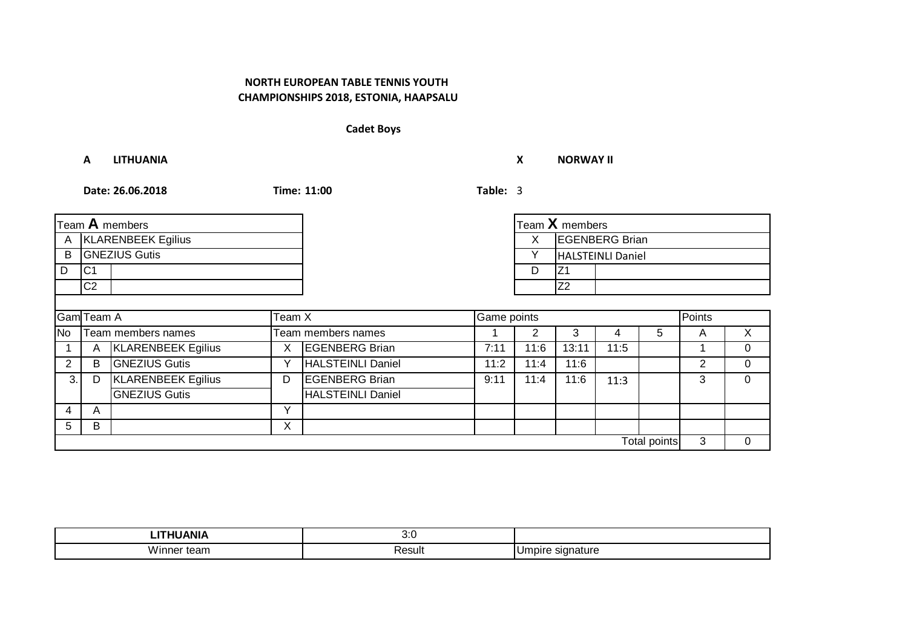# **Cadet Boys**

**A LITHUANIA X NORWAY II**

| Team A members            |                |                           |   |                          |      | Team $X$ members |                       |                          |              |                |          |
|---------------------------|----------------|---------------------------|---|--------------------------|------|------------------|-----------------------|--------------------------|--------------|----------------|----------|
|                           |                | A KLARENBEEK Egilius      |   |                          |      | X.               | <b>EGENBERG Brian</b> |                          |              |                |          |
| <b>GNEZIUS Gutis</b><br>B |                |                           |   |                          |      | Y                |                       | <b>HALSTEINLI Daniel</b> |              |                |          |
| D                         | IC1            |                           |   |                          |      | D                | Z <sub>1</sub>        |                          |              |                |          |
|                           | C <sub>2</sub> |                           |   |                          |      |                  | Z2                    |                          |              |                |          |
|                           |                |                           |   |                          |      |                  |                       |                          |              |                |          |
| Gam Team A<br>Team X      |                |                           |   | Game points              |      | Points           |                       |                          |              |                |          |
| No                        |                | Team members names        |   | Team members names       |      | 2                | 3                     | 4                        | 5            | A              | X        |
|                           | A              | <b>KLARENBEEK Egilius</b> | X | <b>EGENBERG Brian</b>    | 7:11 | 11:6             | 13:11                 | 11:5                     |              |                | $\Omega$ |
| 2                         | B              | <b>GNEZIUS Gutis</b>      | Υ | HALSTEINLI Daniel        | 11:2 | 11:4             | 11:6                  |                          |              | $\overline{2}$ | $\Omega$ |
| 3.                        | D              | <b>KLARENBEEK Egilius</b> | D | <b>EGENBERG Brian</b>    | 9:11 | 11:4             | 11:6                  | 11:3                     |              | 3              | $\Omega$ |
|                           |                | <b>GNEZIUS Gutis</b>      |   | <b>HALSTEINLI Daniel</b> |      |                  |                       |                          |              |                |          |
| 4                         | A              |                           | v |                          |      |                  |                       |                          |              |                |          |
| 5                         | B              |                           | X |                          |      |                  |                       |                          |              |                |          |
|                           |                |                           |   |                          |      |                  |                       |                          | Total points | 3              | $\Omega$ |

| .<br>- - -<br>MI    | .<br>v.J    |                    |
|---------------------|-------------|--------------------|
| .<br>Winner<br>team | ∢esult<br>. | 'ialuit<br>$\cdot$ |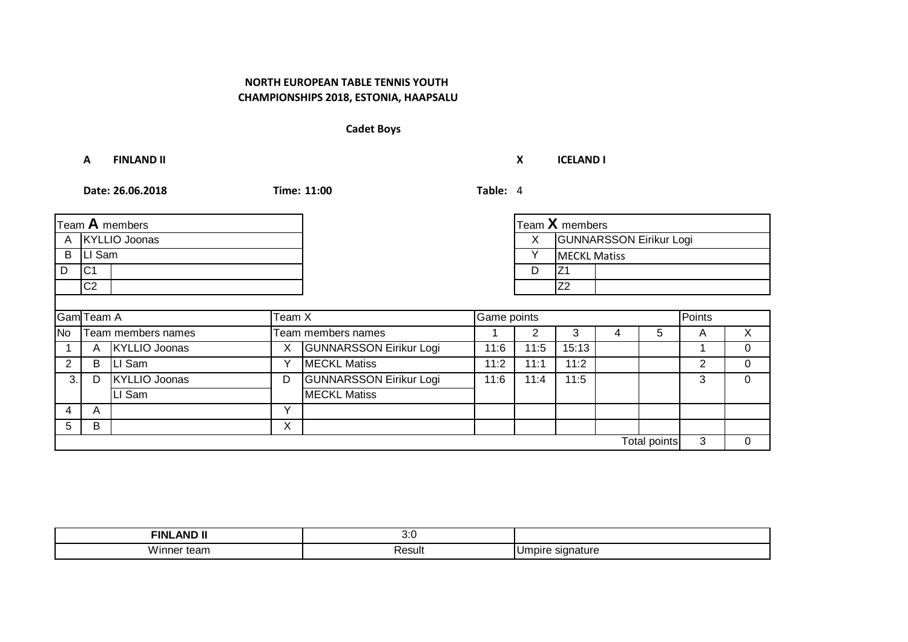# **Cadet Boys**

**A FINLAND II X ICELAND I**

| Team A members              |                |                      |              |                                |      | $\mathsf{T}$ eam $\mathsf{X}$ members |                                |  |              |                |          |
|-----------------------------|----------------|----------------------|--------------|--------------------------------|------|---------------------------------------|--------------------------------|--|--------------|----------------|----------|
| A                           | KYLLIO Joonas  |                      |              |                                |      | X                                     | <b>GUNNARSSON Eirikur Logi</b> |  |              |                |          |
| B                           | LI Sam         |                      |              |                                |      | Υ                                     | <b>MECKL Matiss</b>            |  |              |                |          |
| D                           | IC1            |                      |              |                                |      | D                                     | Z <sub>1</sub>                 |  |              |                |          |
|                             | C <sub>2</sub> |                      |              |                                |      | Z <sub>2</sub>                        |                                |  |              |                |          |
|                             |                |                      |              |                                |      |                                       |                                |  |              |                |          |
| <b>Gam</b> Team A<br>Team X |                |                      |              | Game points                    |      | Points                                |                                |  |              |                |          |
| No                          |                | Team members names   |              | Team members names             |      | 2                                     | 3                              |  | 5            | A              | X        |
|                             | A              | <b>KYLLIO Joonas</b> | X            | <b>GUNNARSSON Eirikur Logi</b> | 11:6 | 11:5                                  | 15:13                          |  |              |                | $\Omega$ |
| 2                           | B              | LI Sam               | Υ            | <b>MECKL Matiss</b>            | 11:2 | 11:1                                  | 11:2                           |  |              | $\overline{2}$ | 0        |
| 3.                          | D              | <b>KYLLIO Joonas</b> | D            | <b>GUNNARSSON Eirikur Logi</b> | 11:6 | 11:4                                  | 11:5                           |  |              | 3              | 0        |
|                             |                | LI Sam               |              | <b>MECKL Matiss</b>            |      |                                       |                                |  |              |                |          |
| 4                           | A              |                      | $\checkmark$ |                                |      |                                       |                                |  |              |                |          |
| 5                           | В              |                      | X            |                                |      |                                       |                                |  |              |                |          |
|                             |                |                      |              |                                |      |                                       |                                |  | Total points | 3              | 0        |

| --<br>---<br>FIN.<br>ANI | .<br>ີ              |                                    |
|--------------------------|---------------------|------------------------------------|
| .<br>Winner<br>tean      | ∍ ∼י<br>ונוהאז<br>. | <b>IDITE</b><br>nur<br>יו∪.<br>. . |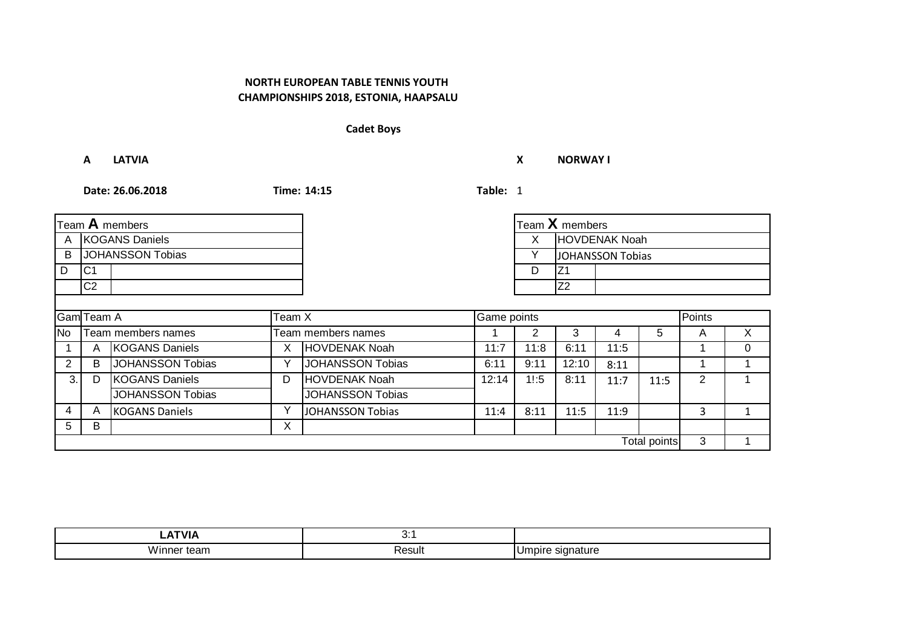## **Cadet Boys**

**A LATVIA X NORWAY I**

| Team $X$ members<br>Team $A$ members |                       |                         |   |                         |       |      |                |                         |              |                |          |
|--------------------------------------|-----------------------|-------------------------|---|-------------------------|-------|------|----------------|-------------------------|--------------|----------------|----------|
| A                                    | <b>KOGANS Daniels</b> |                         |   |                         |       | X    | HOVDENAK Noah  |                         |              |                |          |
| B                                    |                       | JOHANSSON Tobias        |   |                         |       |      |                | <b>JOHANSSON Tobias</b> |              |                |          |
| D                                    | IC <sub>1</sub>       |                         |   |                         |       | D    | Z <sub>1</sub> |                         |              |                |          |
|                                      | C <sub>2</sub>        |                         |   |                         |       |      | Z <sub>2</sub> |                         |              |                |          |
|                                      |                       |                         |   |                         |       |      |                |                         |              |                |          |
| GamTeam A<br>Team X                  |                       |                         |   | Game points             |       |      |                |                         | Points       |                |          |
| <b>No</b>                            |                       | Team members names      |   | Team members names      |       | 2    | 3              | 4                       | 5            | A              | $\times$ |
|                                      | A                     | <b>KOGANS Daniels</b>   | X | HOVDENAK Noah           | 11:7  | 11:8 | 6:11           | 11:5                    |              |                | $\Omega$ |
| 2                                    | B                     | <b>JOHANSSON Tobias</b> | Y | <b>JOHANSSON Tobias</b> | 6:11  | 9:11 | 12:10          | 8:11                    |              |                |          |
| 3.                                   | D                     | <b>KOGANS Daniels</b>   | D | <b>HOVDENAK Noah</b>    | 12:14 | 1!:5 | 8:11           | 11:7                    | 11:5         | $\overline{2}$ |          |
|                                      |                       | <b>JOHANSSON Tobias</b> |   | <b>JOHANSSON Tobias</b> |       |      |                |                         |              |                |          |
| 4                                    | A                     | <b>KOGANS Daniels</b>   | Υ | <b>JOHANSSON Tobias</b> | 11:4  | 8:11 | 11:5           | 11:9                    |              | 3              |          |
| 5                                    | В                     |                         | X |                         |       |      |                |                         |              |                |          |
|                                      |                       |                         |   |                         |       |      |                |                         | Total points | 3              |          |

| -- --          | .<br>v.<br>$\sim$ |                  |
|----------------|-------------------|------------------|
| Winner<br>tean | ∘sult             | $  -$<br>$\cdot$ |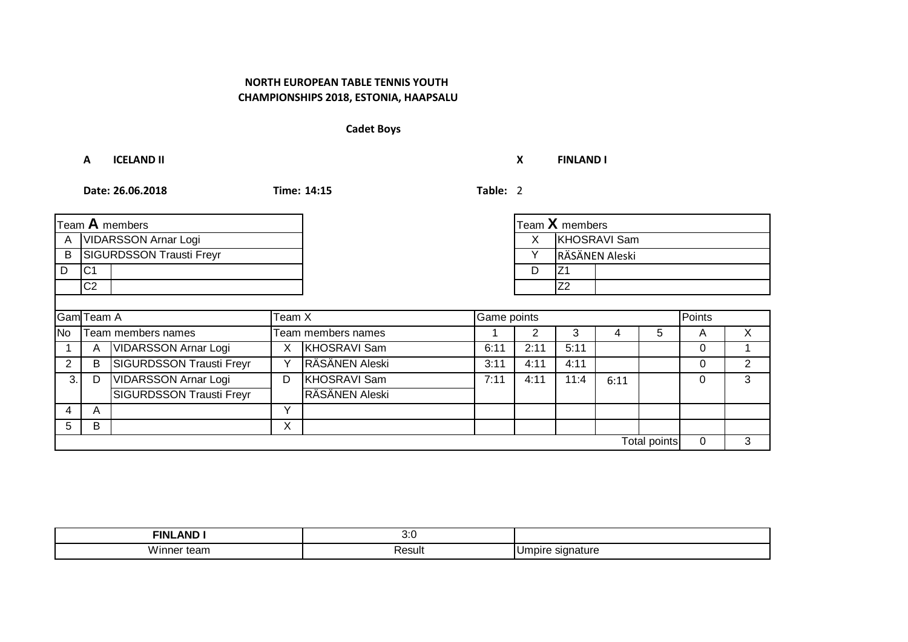# **Cadet Boys**

**A ICELAND II X FINLAND I**

|           |                      | Team $A$ members                |              |                     |             | Team X members |                |                     |              |   |   |
|-----------|----------------------|---------------------------------|--------------|---------------------|-------------|----------------|----------------|---------------------|--------------|---|---|
| A         |                      | <b>VIDARSSON Arnar Logi</b>     |              |                     |             | X              |                | <b>KHOSRAVI Sam</b> |              |   |   |
| B         |                      | SIGURDSSON Trausti Freyr        |              |                     |             | RÄSÄNEN Aleski |                |                     |              |   |   |
| l D       | IC <sub>1</sub>      |                                 |              |                     |             | D              | IZ1            |                     |              |   |   |
|           | C <sub>2</sub>       |                                 |              |                     |             |                | Z <sub>2</sub> |                     |              |   |   |
|           |                      |                                 |              |                     |             |                |                |                     |              |   |   |
|           | Gam Team A<br>Team X |                                 |              |                     | Game points |                |                | <b>Points</b>       |              |   |   |
| <b>No</b> |                      | Team members names              |              | Team members names  |             | 2              | 3              |                     | 5            | A | X |
|           | A                    | <b>VIDARSSON Arnar Logi</b>     | X            | <b>KHOSRAVI Sam</b> | 6:11        | 2:11           | 5:11           |                     |              | 0 |   |
| 2         | B                    | SIGURDSSON Trausti Freyr        | Υ            | RÄSÄNEN Aleski      | 3:11        | 4:11           | 4:11           |                     |              | 0 | 2 |
| 3.1       | D                    | VIDARSSON Arnar Logi            | D            | <b>KHOSRAVI Sam</b> | 7:11        | 4:11           | 11:4           | 6:11                |              | 0 | 3 |
|           |                      | <b>SIGURDSSON Trausti Freyr</b> |              | RÄSÄNEN Aleski      |             |                |                |                     |              |   |   |
| 4         | A                    |                                 | $\checkmark$ |                     |             |                |                |                     |              |   |   |
| 5         | B                    |                                 | X            |                     |             |                |                |                     |              |   |   |
|           |                      |                                 |              |                     |             |                |                |                     | Total points | 0 | 3 |

| <b>_AND</b><br>FINL          | .<br>v.J    |                          |
|------------------------------|-------------|--------------------------|
| .<br>team<br>Vinne.<br>VVII. | Result<br>. | signature<br>ipire<br>וש |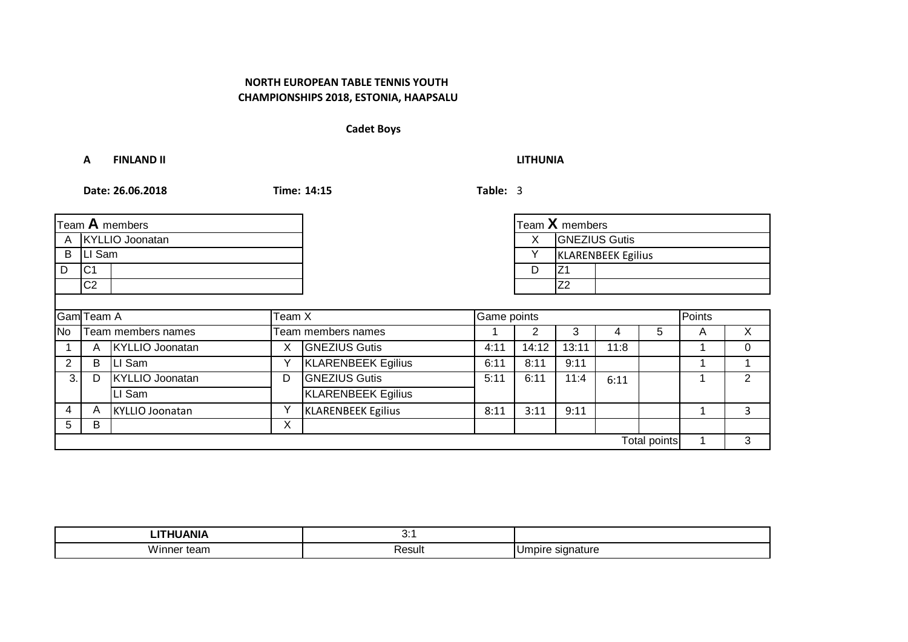# **Cadet Boys**

### **A FINLAND II LITHUNIA**

| Team A members       |                 |                        |   |                           |      |       | Team X members            |      |   |        |          |
|----------------------|-----------------|------------------------|---|---------------------------|------|-------|---------------------------|------|---|--------|----------|
| Α                    |                 | KYLLIO Joonatan        |   |                           |      | X     | <b>GNEZIUS Gutis</b>      |      |   |        |          |
| В                    | LI Sam          |                        |   |                           |      | Υ     | <b>KLARENBEEK Egilius</b> |      |   |        |          |
| D                    | IC <sub>1</sub> |                        |   |                           |      | D     | Z <sub>1</sub>            |      |   |        |          |
|                      | C <sub>2</sub>  |                        |   |                           |      |       | Z <sub>2</sub>            |      |   |        |          |
|                      |                 |                        |   |                           |      |       |                           |      |   |        |          |
| Gam Team A<br>Team X |                 |                        |   | Game points               |      |       |                           |      |   | Points |          |
| <b>No</b>            |                 | Team members names     |   | Team members names        |      | 2     | 3                         | 4    | 5 | A      | X        |
|                      | Α               | KYLLIO Joonatan        | X | <b>GNEZIUS Gutis</b>      | 4:11 | 14:12 | 13:11                     | 11:8 |   |        | $\Omega$ |
| $\overline{2}$       | B               | LI Sam                 | ٧ | <b>KLARENBEEK Egilius</b> | 6:11 | 8:11  | 9:11                      |      |   |        |          |
| 3.1                  | D               | <b>KYLLIO Joonatan</b> | D | <b>GNEZIUS Gutis</b>      | 5:11 | 6:11  | 11:4                      | 6:11 |   |        | 2        |
|                      |                 | LI Sam                 |   | <b>KLARENBEEK Egilius</b> |      |       |                           |      |   |        |          |
| 4                    | A               | <b>KYLLIO Joonatan</b> | Υ | <b>KLARENBEEK Egilius</b> | 8:11 | 3:11  | 9:11                      |      |   |        | 3        |
| 5                    | В               |                        | Х |                           |      |       |                           |      |   |        |          |
|                      | Total points    |                        |   |                           |      |       |                           |      |   |        | 3        |

| .  .<br>. .<br>- 1      | v.              |                         |
|-------------------------|-----------------|-------------------------|
| .<br>าทe<br>Wir<br>tean | $\sim$<br>esult | .ture<br>'IL<br>$\cdot$ |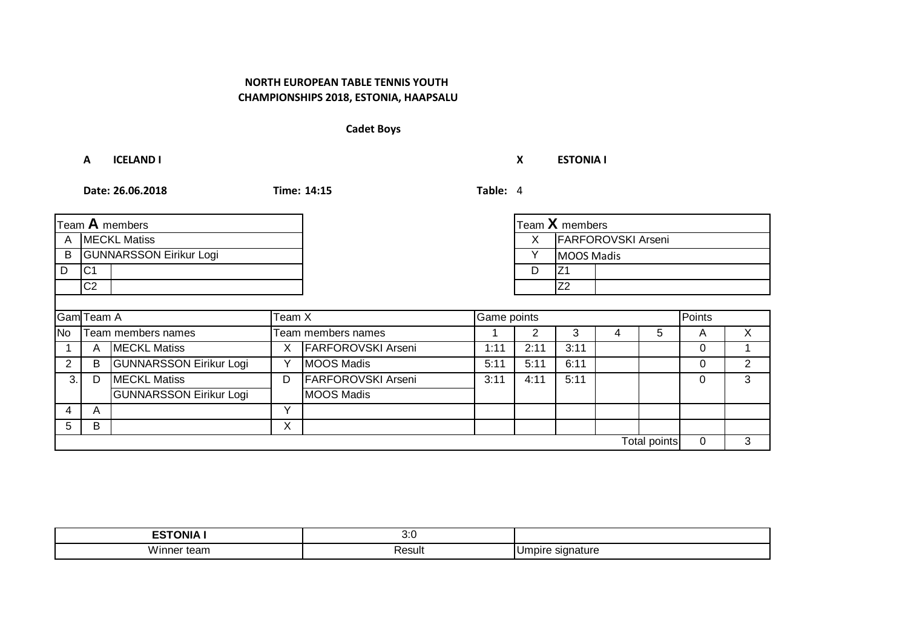# **Cadet Boys**

**A ICELAND I X ESTONIA I**

| Team $A$ members     |                |                                |              |                           |      | Team $X$ members |                           |  |              |              |   |
|----------------------|----------------|--------------------------------|--------------|---------------------------|------|------------------|---------------------------|--|--------------|--------------|---|
| A                    |                | <b>MECKL Matiss</b>            |              |                           |      | X                | <b>FARFOROVSKI Arseni</b> |  |              |              |   |
| B                    |                | <b>GUNNARSSON Eirikur Logi</b> |              |                           |      | Υ                | <b>MOOS Madis</b>         |  |              |              |   |
| D                    | IC1            |                                |              |                           |      | D                | Z <sub>1</sub>            |  |              |              |   |
|                      | C <sub>2</sub> |                                |              |                           |      |                  | Z <sub>2</sub>            |  |              |              |   |
|                      |                |                                |              |                           |      |                  |                           |  |              |              |   |
| Gam Team A<br>Team X |                |                                |              | Game points               |      |                  |                           |  | Points       |              |   |
| <b>No</b>            |                | Team members names             |              | Team members names        |      | 2                | 3                         |  | 5            | A            | X |
|                      | A              | <b>MECKL Matiss</b>            | X            | <b>FARFOROVSKI Arseni</b> | 1:11 | 2:11             | 3:11                      |  |              | 0            |   |
| 2                    | в              | <b>GUNNARSSON Eirikur Logi</b> | Υ            | <b>MOOS Madis</b>         | 5:11 | 5:11             | 6:11                      |  |              | 0            | 2 |
| 3.                   | D              | <b>MECKL Matiss</b>            | D            | FARFOROVSKI Arseni        | 3:11 | 4:11             | 5:11                      |  |              | 0            | 3 |
|                      |                | <b>GUNNARSSON Eirikur Logi</b> |              | <b>MOOS Madis</b>         |      |                  |                           |  |              |              |   |
| 4                    | A              |                                | $\checkmark$ |                           |      |                  |                           |  |              |              |   |
| 5                    | В              |                                | X            |                           |      |                  |                           |  |              |              |   |
|                      |                |                                |              |                           |      |                  |                           |  | Total points | $\mathbf{0}$ | 3 |

| --------<br>וחנ<br>""<br>$-$ | .<br>v.J    |                         |
|------------------------------|-------------|-------------------------|
| .<br>Winner<br>team          | ∢esult<br>. | .<br>'ialuit<br>$\cdot$ |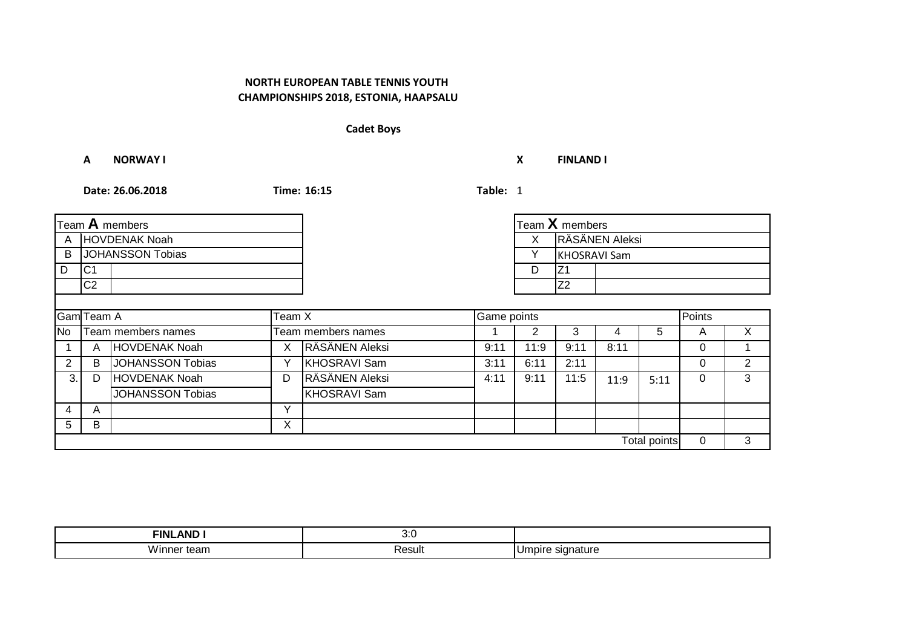# **CHAMPIONSHIPS 2018, ESTONIA, HAAPSALU NORTH EUROPEAN TABLE TENNIS YOUTH**

# **Cadet Boys**

**Date: 26.06.2018 Time: 16:15 Table:** 1

|                      |                | Team $\bm{\mathsf{A}}$ members |              |                       |      |      | Team $X$ members      |      |              |   |                |
|----------------------|----------------|--------------------------------|--------------|-----------------------|------|------|-----------------------|------|--------------|---|----------------|
| A                    | HOVDENAK Noah  |                                |              |                       |      | X    | <b>RÄSÄNEN Aleksi</b> |      |              |   |                |
| B                    |                | <b>JOHANSSON Tobias</b>        |              |                       |      |      | <b>KHOSRAVI Sam</b>   |      |              |   |                |
| D                    | C <sub>1</sub> |                                |              |                       |      | D    | IZ1                   |      |              |   |                |
|                      | C <sub>2</sub> |                                |              |                       |      |      | Z <sub>2</sub>        |      |              |   |                |
|                      |                |                                |              |                       |      |      |                       |      |              |   |                |
| Gam Team A<br>Team X |                |                                |              | Game points           |      |      | Points                |      |              |   |                |
| <b>No</b>            |                | Team members names             |              | Team members names    |      | 2    | 3                     | 4    | 5            | A | $\times$       |
| 1                    | A              | <b>HOVDENAK Noah</b>           | Χ            | RÄSÄNEN Aleksi        | 9:11 | 11:9 | 9:11                  | 8:11 |              | 0 |                |
| 2                    | В              | <b>JOHANSSON Tobias</b>        | Y            | KHOSRAVI Sam          | 3:11 | 6:11 | 2:11                  |      |              | 0 | $\overline{2}$ |
| 3.                   | D              | <b>HOVDENAK Noah</b>           | D            | <b>RÄSÄNEN Aleksi</b> | 4:11 | 9:11 | 11:5                  | 11:9 | 5:11         | 0 | 3              |
|                      |                | <b>JOHANSSON Tobias</b>        |              | KHOSRAVI Sam          |      |      |                       |      |              |   |                |
| 4                    | A              |                                | $\checkmark$ |                       |      |      |                       |      |              |   |                |
| 5                    | в              |                                | Χ            |                       |      |      |                       |      |              |   |                |
|                      |                |                                |              |                       |      |      |                       |      | Total points | 0 | 3              |

| FINL<br>AND             | .<br>v.v<br>$-$ |                                       |
|-------------------------|-----------------|---------------------------------------|
| Winner<br>חבב<br>⊤tean. | .               | naturr<br>sıar<br>-mpireس<br>.<br>. . |

**A NORWAY I X FINLAND I**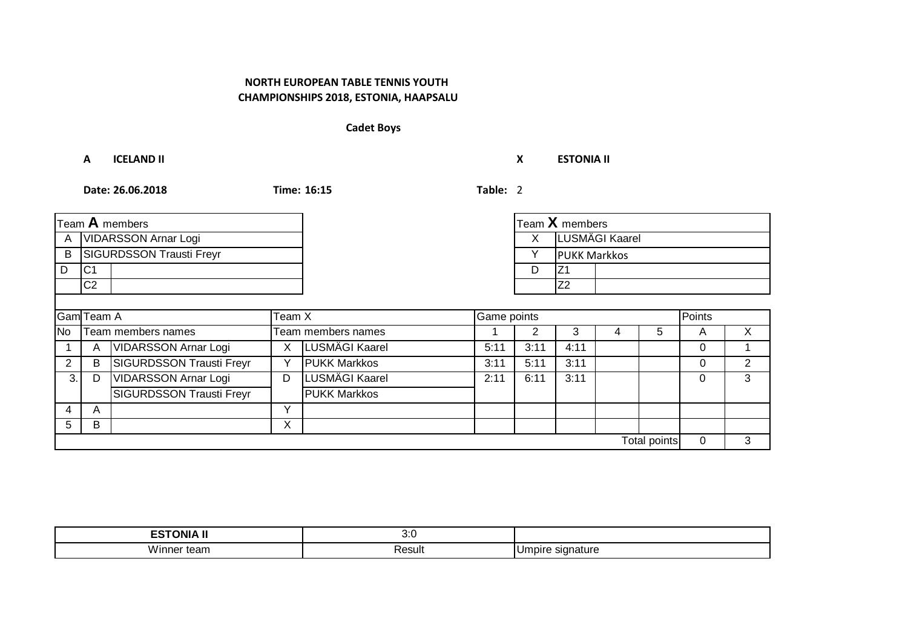## **Cadet Boys**

**A ICELAND II X ESTONIA II**

|                      |                      | Team $A$ members                |   |                     |      |        | Team $X$ members    |   |                     |              |                |
|----------------------|----------------------|---------------------------------|---|---------------------|------|--------|---------------------|---|---------------------|--------------|----------------|
| A                    | VIDARSSON Arnar Logi |                                 |   |                     |      | X      | LUSMÄGI Kaarel      |   |                     |              |                |
| B                    |                      | SIGURDSSON Trausti Freyr        |   |                     |      | Υ      | <b>PUKK Markkos</b> |   |                     |              |                |
| D                    | IC1                  |                                 |   |                     |      | D      | Z <sub>1</sub>      |   |                     |              |                |
|                      | C <sub>2</sub>       |                                 |   |                     |      |        | Z <sub>2</sub>      |   |                     |              |                |
|                      |                      |                                 |   |                     |      |        |                     |   |                     |              |                |
| Gam Team A<br>Team X |                      |                                 |   | Game points         |      | Points |                     |   |                     |              |                |
| <b>No</b>            |                      | Team members names              |   | Team members names  |      | 2      | 3                   | 4 | 5                   | A            | X              |
|                      | A                    | VIDARSSON Arnar Logi            | X | LUSMÄGI Kaarel      | 5:11 | 3:11   | 4:11                |   |                     | $\Omega$     |                |
| $\overline{2}$       | В                    | SIGURDSSON Trausti Freyr        | Y | <b>PUKK Markkos</b> | 3:11 | 5:11   | 3:11                |   |                     | 0            | $\overline{2}$ |
| 3.                   | D                    | <b>VIDARSSON Arnar Logi</b>     | D | LUSMÄGI Kaarel      | 2:11 | 6:11   | 3:11                |   |                     | $\Omega$     | 3              |
|                      |                      | <b>SIGURDSSON Trausti Freyr</b> |   | <b>PUKK Markkos</b> |      |        |                     |   |                     |              |                |
| 4                    | A                    |                                 | Y |                     |      |        |                     |   |                     |              |                |
| 5                    | B                    |                                 | X |                     |      |        |                     |   |                     |              |                |
|                      |                      |                                 |   |                     |      |        |                     |   | <b>Total points</b> | $\mathbf{0}$ | 3              |

| .<br>сет<br>JΝIΔ<br>יי ד<br>∽ | . .<br>v.v<br>$ -$ |                                |
|-------------------------------|--------------------|--------------------------------|
| tean<br>VV ir<br>าne          | ⊀esult<br>.        | ıture<br>non<br>. ت<br>$\cdot$ |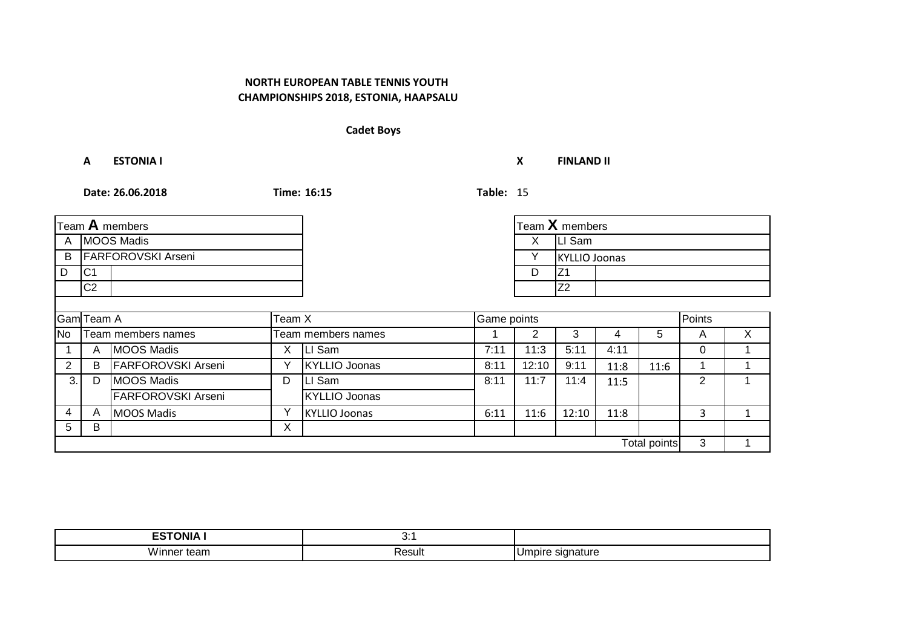# **Cadet Boys**

**A ESTONIA I X FINLAND II**

|                      |                 | Team A members            |   |                      |      |       | Team $X$ members     |      |                     |   |              |
|----------------------|-----------------|---------------------------|---|----------------------|------|-------|----------------------|------|---------------------|---|--------------|
| Α                    | MOOS Madis      |                           |   |                      |      | X     | LI Sam               |      |                     |   |              |
| В                    |                 | <b>FARFOROVSKI Arseni</b> |   |                      |      | Υ     | <b>KYLLIO Joonas</b> |      |                     |   |              |
| D                    | IC <sub>1</sub> |                           |   |                      |      | D     | Z <sub>1</sub>       |      |                     |   |              |
|                      | C <sub>2</sub>  |                           |   |                      |      |       | Z2                   |      |                     |   |              |
|                      |                 |                           |   |                      |      |       |                      |      |                     |   |              |
| Gam Team A<br>Team X |                 |                           |   | Game points          |      |       |                      |      | Points              |   |              |
| <b>No</b>            |                 | Team members names        |   | Team members names   |      | 2     | 3                    | 4    | 5                   | A | X            |
|                      | A               | <b>MOOS Madis</b>         | X | LI Sam               | 7:11 | 11:3  | 5:11                 | 4:11 |                     | 0 |              |
| 2                    | B               | <b>FARFOROVSKI Arseni</b> | Y | <b>KYLLIO Joonas</b> | 8:11 | 12:10 | 9:11                 | 11:8 | 11:6                |   |              |
| 3.1                  | D               | <b>MOOS Madis</b>         | D | LI Sam               | 8:11 | 11:7  | 11:4                 | 11:5 |                     | 2 | 1            |
|                      |                 | <b>FARFOROVSKI Arseni</b> |   | <b>KYLLIO Joonas</b> |      |       |                      |      |                     |   |              |
| 4                    | $\mathsf{A}$    | <b>MOOS Madis</b>         |   | <b>KYLLIO Joonas</b> | 6:11 | 11:6  | 12:10                | 11:8 |                     | 3 | $\mathbf{1}$ |
| 5                    | B               |                           | X |                      |      |       |                      |      |                     |   |              |
|                      |                 |                           |   |                      |      |       |                      |      | <b>Total points</b> | 3 |              |

| <b>TONIA</b><br>--<br>$-$          | .<br>. v.   |                         |
|------------------------------------|-------------|-------------------------|
| .<br>VV ır<br>- -<br>∵τean.<br>יסו | Result<br>. | nature<br>npire<br>ייט. |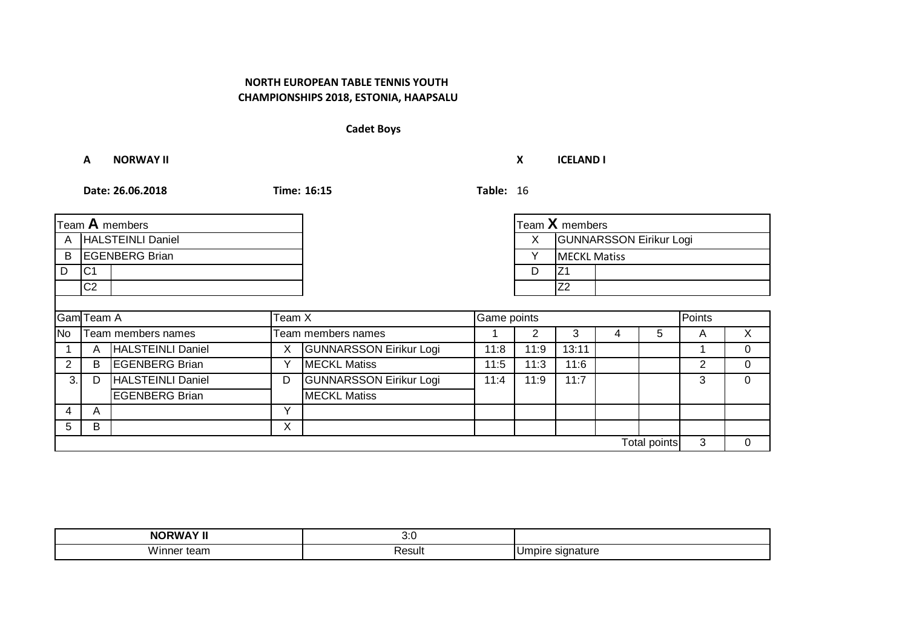## **Cadet Boys**

**A NORWAY II X ICELAND I**

|                     |                   | Team A members           |   |                                |      |      | Team $X$ members               |  |                     |   |          |
|---------------------|-------------------|--------------------------|---|--------------------------------|------|------|--------------------------------|--|---------------------|---|----------|
| A                   | HALSTEINLI Daniel |                          |   |                                |      | X    | <b>GUNNARSSON Eirikur Logi</b> |  |                     |   |          |
| B                   |                   | <b>EGENBERG Brian</b>    |   |                                |      | Y    | <b>MECKL Matiss</b>            |  |                     |   |          |
| l D                 | IC1               |                          |   |                                |      | D    | Z <sub>1</sub>                 |  |                     |   |          |
|                     | C <sub>2</sub>    |                          |   |                                |      |      | Z2                             |  |                     |   |          |
|                     |                   |                          |   |                                |      |      |                                |  |                     |   |          |
| GamTeam A<br>Team X |                   |                          |   | Game points                    |      |      | Points                         |  |                     |   |          |
| <b>No</b>           |                   | Team members names       |   | Team members names             |      | 2    | 3                              |  | 5                   | A | X        |
|                     | A                 | <b>HALSTEINLI Daniel</b> | X | <b>GUNNARSSON Eirikur Logi</b> | 11:8 | 11:9 | 13:11                          |  |                     |   | $\Omega$ |
| 2                   | B                 | <b>EGENBERG Brian</b>    | Υ | <b>MECKL Matiss</b>            | 11:5 | 11:3 | 11:6                           |  |                     | 2 | $\Omega$ |
| 3.1                 | D                 | <b>HALSTEINLI Daniel</b> | D | <b>GUNNARSSON Eirikur Logi</b> | 11:4 | 11:9 | 11:7                           |  |                     | 3 | $\Omega$ |
|                     |                   | <b>EGENBERG Brian</b>    |   | <b>MECKL Matiss</b>            |      |      |                                |  |                     |   |          |
| 4                   | A                 |                          | Υ |                                |      |      |                                |  |                     |   |          |
| 5                   | B                 |                          | X |                                |      |      |                                |  |                     |   |          |
|                     |                   |                          |   |                                |      |      |                                |  | <b>Total points</b> | 3 | $\Omega$ |

| N0<br>1 ז. נ     | ,,,<br>v.v<br>- - |                     |
|------------------|-------------------|---------------------|
| .<br>Winner team | Result            | signature<br>$\sim$ |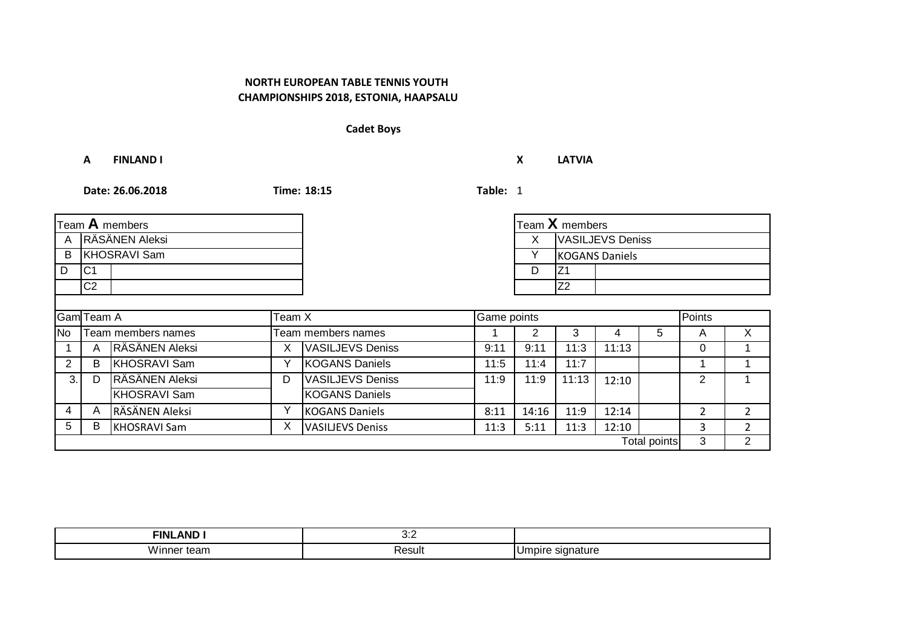# **Cadet Boys**

**A FINLAND I X LATVIA**

|                             |                 | Team A members      |   |                         |      |                | Team X members          |                       |                     |                |                |
|-----------------------------|-----------------|---------------------|---|-------------------------|------|----------------|-------------------------|-----------------------|---------------------|----------------|----------------|
| Α                           | RÄSÄNEN Aleksi  |                     |   |                         |      | X              | <b>VASILJEVS Deniss</b> |                       |                     |                |                |
| В                           |                 | <b>KHOSRAVI Sam</b> |   |                         |      | Υ              |                         | <b>KOGANS Daniels</b> |                     |                |                |
| D                           | IC <sub>1</sub> |                     |   |                         |      | D              | Z <sub>1</sub>          |                       |                     |                |                |
|                             | C <sub>2</sub>  |                     |   |                         |      |                | Z <sub>2</sub>          |                       |                     |                |                |
|                             |                 |                     |   |                         |      |                |                         |                       |                     |                |                |
| <b>Gam</b> Team A<br>Team X |                 |                     |   | Game points             |      | Points         |                         |                       |                     |                |                |
| <b>No</b>                   |                 | Team members names  |   | Team members names      |      | $\overline{2}$ | 3                       | 4                     | 5                   | A              | $\mathsf{X}$   |
|                             | A               | RÄSÄNEN Aleksi      | X | <b>VASILJEVS Deniss</b> | 9:11 | 9:11           | 11:3                    | 11:13                 |                     | $\Omega$       |                |
| 2                           | B               | <b>KHOSRAVI Sam</b> | Υ | <b>KOGANS Daniels</b>   | 11:5 | 11:4           | 11:7                    |                       |                     |                |                |
| 3.1                         | D               | RÄSÄNEN Aleksi      | D | <b>VASILJEVS Deniss</b> | 11:9 | 11:9           | 11:13                   | 12:10                 |                     | $\overline{2}$ |                |
|                             |                 | <b>KHOSRAVI Sam</b> |   | <b>KOGANS Daniels</b>   |      |                |                         |                       |                     |                |                |
| 4                           | A               | RÄSÄNEN Aleksi      | Υ | <b>KOGANS Daniels</b>   | 8:11 | 14:16          | 11:9                    | 12:14                 |                     | $\overline{2}$ | $\overline{2}$ |
| 5                           | B               | <b>KHOSRAVI Sam</b> | X | <b>VASILIEVS Deniss</b> | 11:3 | 5:11           | 11:3                    | 12:10                 |                     | 3              | $\overline{2}$ |
|                             |                 |                     |   |                         |      |                |                         |                       | <b>Total points</b> | 3              | $\overline{2}$ |

| <b>AND</b><br>FINL         | .<br>ັບ.   |                           |
|----------------------------|------------|---------------------------|
| .<br>team<br>VV inr<br>- פ | Resul<br>. | signature<br>nbire<br>.ur |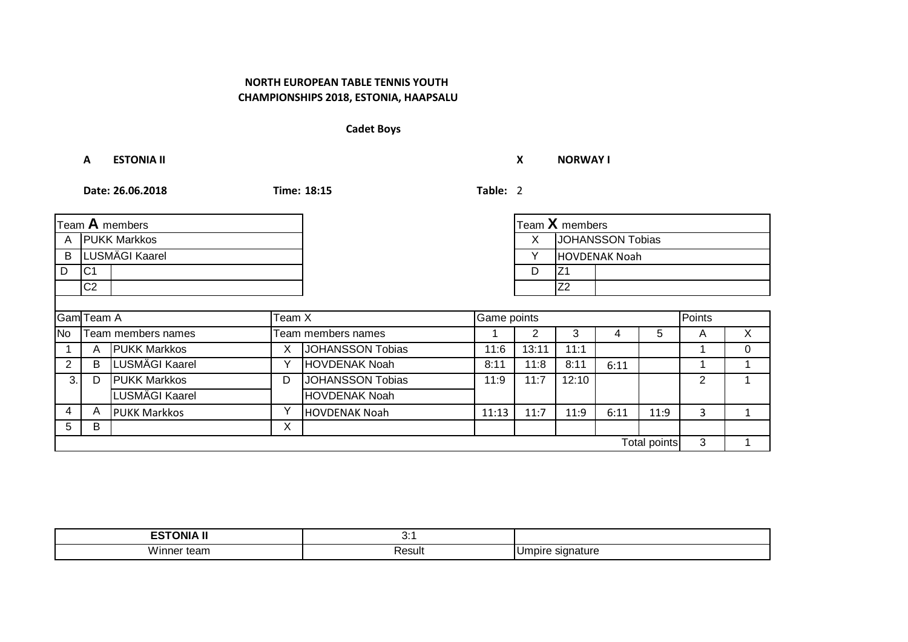# **Cadet Boys**

**A ESTONIA II X NORWAY I**

|                     |                     | Team A members      |   |                         |       |       | Team $X$ members        |                      |                     |   |          |
|---------------------|---------------------|---------------------|---|-------------------------|-------|-------|-------------------------|----------------------|---------------------|---|----------|
| Α                   | <b>PUKK Markkos</b> |                     |   |                         |       | X     | <b>JOHANSSON Tobias</b> |                      |                     |   |          |
| B                   |                     | LUSMÄGI Kaarel      |   |                         |       | Y     |                         | <b>HOVDENAK Noah</b> |                     |   |          |
| D                   | C1                  |                     |   |                         |       | D     | IZ1                     |                      |                     |   |          |
|                     | C <sub>2</sub>      |                     |   |                         |       |       | Z <sub>2</sub>          |                      |                     |   |          |
|                     |                     |                     |   |                         |       |       |                         |                      |                     |   |          |
| GamTeam A<br>Team X |                     |                     |   | Game points             |       |       |                         |                      | Points              |   |          |
| <b>No</b>           |                     | Team members names  |   | Team members names      |       | 2     | 3                       | 4                    | 5                   | A | $\times$ |
|                     | A                   | <b>PUKK Markkos</b> | X | <b>JOHANSSON Tobias</b> | 11:6  | 13:11 | 11:1                    |                      |                     |   | $\Omega$ |
| 2                   | B                   | LUSMÄGI Kaarel      | Υ | <b>HOVDENAK Noah</b>    | 8:11  | 11:8  | 8:11                    | 6:11                 |                     |   |          |
| 3.                  | D                   | <b>PUKK Markkos</b> | D | <b>JOHANSSON Tobias</b> | 11:9  | 11:7  | 12:10                   |                      |                     | 2 | 1        |
|                     |                     | LUSMÄGI Kaarel      |   | <b>HOVDENAK Noah</b>    |       |       |                         |                      |                     |   |          |
| 4                   | A                   | <b>PUKK Markkos</b> | Υ | <b>HOVDENAK Noah</b>    | 11:13 | 11:7  | 11:9                    | 6:11                 | 11:9                | 3 | 1        |
| 5                   | B                   |                     | Χ |                         |       |       |                         |                      |                     |   |          |
|                     |                     |                     |   |                         |       |       |                         |                      | <b>Total points</b> | 3 |          |

| - --<br>______<br>( )NIA<br>וו רו | . .<br>. v., |           |
|-----------------------------------|--------------|-----------|
| Winner<br>team                    | Result<br>.  | sıanature |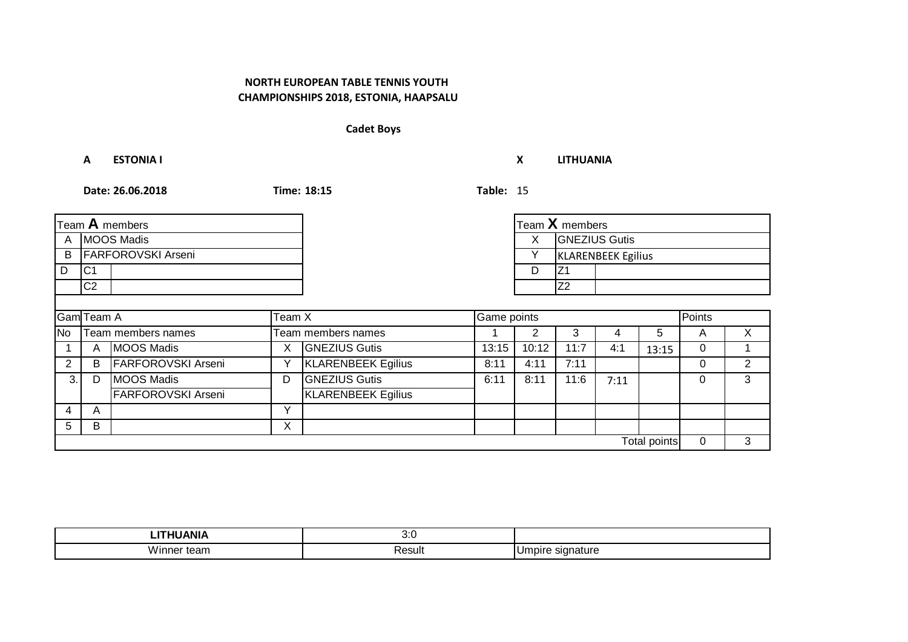# **Cadet Boys**

**A ESTONIA I X LITHUANIA**

| Team A members       |                |                           |   |                           |       | Team X members |                      |                           |                     |          |                |  |
|----------------------|----------------|---------------------------|---|---------------------------|-------|----------------|----------------------|---------------------------|---------------------|----------|----------------|--|
| Α                    | MOOS Madis     |                           |   |                           |       | X              | <b>GNEZIUS Gutis</b> |                           |                     |          |                |  |
| В                    |                | <b>FARFOROVSKI Arseni</b> |   |                           |       |                |                      | <b>KLARENBEEK Egilius</b> |                     |          |                |  |
| D                    | IC1            |                           |   |                           |       | D              | IZ1                  |                           |                     |          |                |  |
|                      | C <sub>2</sub> |                           |   |                           |       |                | Z <sub>2</sub>       |                           |                     |          |                |  |
|                      |                |                           |   |                           |       |                |                      |                           |                     |          |                |  |
| Gam Team A<br>Team X |                |                           |   | Game points               |       |                |                      |                           |                     | Points   |                |  |
| <b>No</b>            |                | Team members names        |   | Team members names        |       | 2              | 3                    | 4                         | 5                   | A        | X              |  |
|                      | A              | <b>MOOS Madis</b>         | X | <b>GNEZIUS Gutis</b>      | 13:15 | 10:12          | 11:7                 | 4:1                       | 13:15               | 0        |                |  |
| 2                    | В              | <b>FARFOROVSKI Arseni</b> | Υ | <b>KLARENBEEK Egilius</b> | 8:11  | 4:11           | 7:11                 |                           |                     | 0        | $\overline{2}$ |  |
| 3.                   | D              | <b>MOOS Madis</b>         | D | <b>GNEZIUS Gutis</b>      | 6:11  | 8:11           | 11:6                 | 7:11                      |                     | $\Omega$ | 3              |  |
|                      |                | <b>FARFOROVSKI Arseni</b> |   | <b>KLARENBEEK Egilius</b> |       |                |                      |                           |                     |          |                |  |
| 4                    | A              |                           | v |                           |       |                |                      |                           |                     |          |                |  |
| 5                    | В              |                           | X |                           |       |                |                      |                           |                     |          |                |  |
|                      |                |                           |   |                           |       |                |                      |                           | <b>Total points</b> | $\Omega$ | 3              |  |

| .<br>--<br>- 1            | .<br>v.v                   |                             |
|---------------------------|----------------------------|-----------------------------|
| tean<br>ıne<br><b>v</b> 1 | ∍ ∼<br>יוµכ <del>ט</del> ד | ibire<br>`atur∈<br>.<br>. . |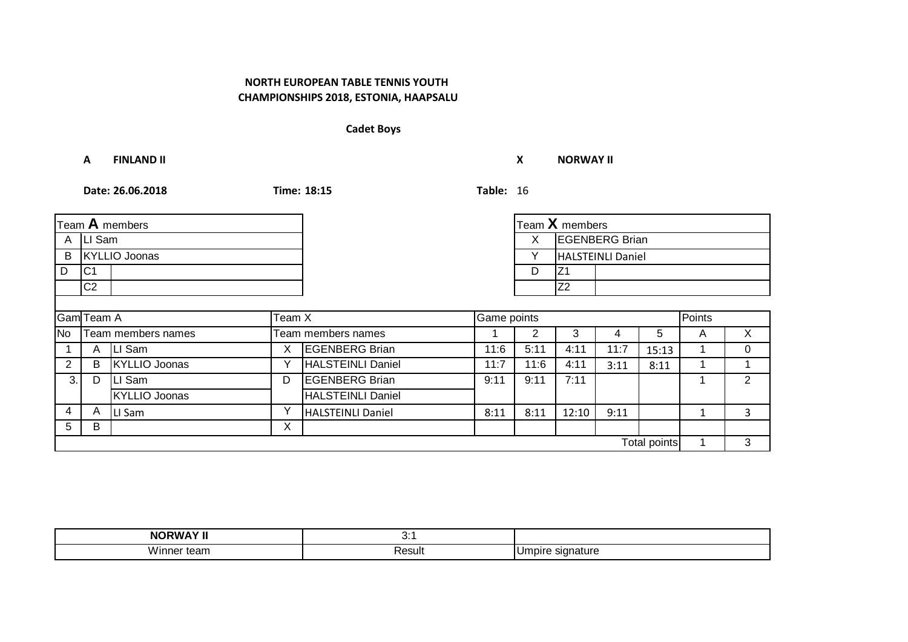## **Cadet Boys**

**A FINLAND II X NORWAY II**

| Team A members       |                |                      |   |                          |      | Team X members        |                |                          |              |   |               |
|----------------------|----------------|----------------------|---|--------------------------|------|-----------------------|----------------|--------------------------|--------------|---|---------------|
| A                    | LI Sam         |                      |   |                          | X    | <b>EGENBERG Brian</b> |                |                          |              |   |               |
| В                    | KYLLIO Joonas  |                      |   |                          |      | v                     |                | <b>HALSTEINLI Daniel</b> |              |   |               |
| D                    | C1             |                      |   |                          |      | D                     | Z <sub>1</sub> |                          |              |   |               |
|                      | C <sub>2</sub> |                      |   |                          |      |                       | Z <sub>2</sub> |                          |              |   |               |
|                      |                |                      |   |                          |      |                       |                |                          |              |   |               |
| Gam Team A<br>Team X |                |                      |   | Game points              |      |                       |                |                          | Points       |   |               |
| No                   |                | Team members names   |   | Team members names       |      | 2                     | 3              | 4                        | 5            | A | $\mathsf{X}$  |
|                      | A              | LI Sam               | X | <b>EGENBERG Brian</b>    | 11:6 | 5:11                  | 4:11           | 11:7                     | 15:13        |   | $\mathbf{0}$  |
| 2                    | в              | <b>KYLLIO Joonas</b> | Υ | <b>HALSTEINLI Daniel</b> | 11:7 | 11:6                  | 4:11           | 3:11                     | 8:11         |   |               |
| 3.                   | D              | LI Sam               | D | <b>EGENBERG Brian</b>    | 9:11 | 9:11                  | 7:11           |                          |              |   | $\mathcal{P}$ |
|                      |                | <b>KYLLIO Joonas</b> |   | <b>HALSTEINLI Daniel</b> |      |                       |                |                          |              |   |               |
| 4                    | A              | LI Sam               | Υ | <b>HALSTEINLI Daniel</b> | 8:11 | 8:11                  | 12:10          | 9:11                     |              | 1 | 3             |
| 5                    | В              |                      | X |                          |      |                       |                |                          |              |   |               |
|                      |                |                      |   |                          |      |                       |                |                          | Total points |   | 3             |

| . . <i>. .</i><br><b>NOP</b><br>. .DM $\bm{v}$ | . .<br>. v. . |                               |
|------------------------------------------------|---------------|-------------------------------|
| .<br>Winner<br>team                            | ≺esult        | signature<br>npire<br>$\cdot$ |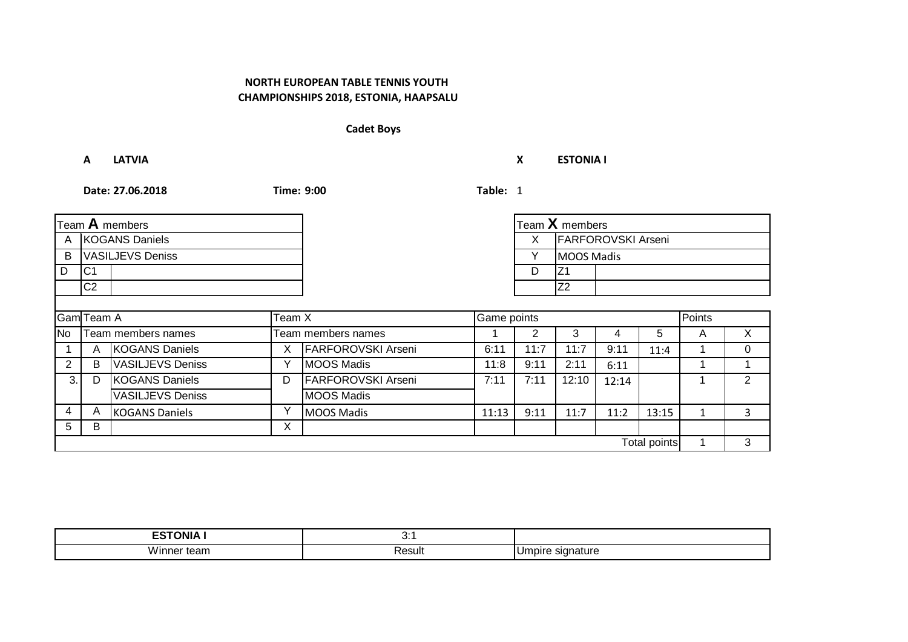# **Cadet Boys**

**A LATVIA X ESTONIA I**

|                      | Team A members   |                         |   |                           |       |      | Team $X$ members          |       |              |              |                |
|----------------------|------------------|-------------------------|---|---------------------------|-------|------|---------------------------|-------|--------------|--------------|----------------|
| Α                    |                  | KOGANS Daniels          |   |                           |       | X    | <b>FARFOROVSKI Arseni</b> |       |              |              |                |
| B                    | VASILJEVS Deniss |                         |   |                           |       | Y    | <b>MOOS Madis</b>         |       |              |              |                |
| D                    | IC <sub>1</sub>  |                         |   |                           |       | D    | Z <sub>1</sub>            |       |              |              |                |
|                      | C <sub>2</sub>   |                         |   |                           |       |      | Z2                        |       |              |              |                |
|                      |                  |                         |   |                           |       |      |                           |       |              |              |                |
| Gam Team A<br>Team X |                  |                         |   | Game points               |       |      |                           |       | Points       |              |                |
| <b>No</b>            |                  | Team members names      |   | Team members names        |       | 2    | 3                         | 4     | 5            | A            | X              |
|                      | A                | <b>KOGANS Daniels</b>   | х | <b>FARFOROVSKI Arseni</b> | 6:11  | 11:7 | 11:7                      | 9:11  | 11:4         |              | $\Omega$       |
| 2                    | в                | <b>VASILJEVS Deniss</b> | Y | <b>MOOS Madis</b>         | 11:8  | 9:11 | 2:11                      | 6:11  |              |              |                |
| 3.                   | D                | <b>KOGANS Daniels</b>   | D | <b>FARFOROVSKI Arseni</b> | 7:11  | 7:11 | 12:10                     | 12:14 |              |              | $\overline{2}$ |
|                      |                  | <b>VASILJEVS Deniss</b> |   | <b>MOOS Madis</b>         |       |      |                           |       |              |              |                |
| 4                    | A                | <b>KOGANS Daniels</b>   | Υ | <b>MOOS Madis</b>         | 11:13 | 9:11 | 11:7                      | 11:2  | 13:15        | $\mathbf{1}$ | $\mathbf{3}$   |
| 5                    | B                |                         | X |                           |       |      |                           |       |              |              |                |
|                      |                  |                         |   |                           |       |      |                           |       | Total points |              | 3              |

| <b>ESTONIA</b><br>$ \sim$           | . .<br>. v. .<br>$\sim$ $\sim$ |                                   |
|-------------------------------------|--------------------------------|-----------------------------------|
| .<br>team<br>.<br>. יו וכ<br>V V II | <b>Resul</b><br>.              | signature<br>.idire<br>.ur<br>. . |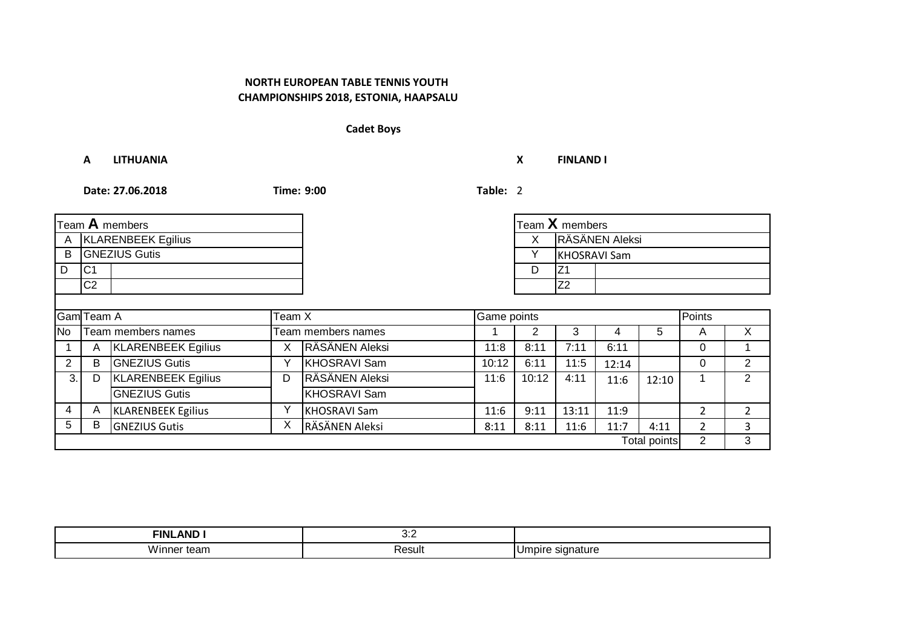# **Cadet Boys**

**A LITHUANIA X FINLAND I**

| Team $A$ members     |                      |                           |   |                       |       |                | Team $X$ members    |       |                     |                |                |
|----------------------|----------------------|---------------------------|---|-----------------------|-------|----------------|---------------------|-------|---------------------|----------------|----------------|
| A                    |                      | <b>KLARENBEEK Egilius</b> |   |                       |       | X              | RÄSÄNEN Aleksi      |       |                     |                |                |
| B                    | <b>GNEZIUS Gutis</b> |                           |   |                       |       | Υ              | <b>KHOSRAVI Sam</b> |       |                     |                |                |
| l D                  | IC1                  |                           |   |                       |       | D              | Z <sub>1</sub>      |       |                     |                |                |
|                      | C <sub>2</sub>       |                           |   |                       |       |                | Z <sub>2</sub>      |       |                     |                |                |
|                      |                      |                           |   |                       |       |                |                     |       |                     |                |                |
| Gam Team A<br>Team X |                      |                           |   | Game points           |       |                |                     |       | Points              |                |                |
| <b>No</b>            |                      | <b>Team members names</b> |   | Team members names    |       | $\overline{2}$ | 3                   | 4     | 5                   | A              | $\times$       |
|                      | A                    | <b>KLARENBEEK Egilius</b> | X | <b>RÄSÄNEN Aleksi</b> | 11:8  | 8:11           | 7:11                | 6:11  |                     | $\Omega$       |                |
| $\overline{2}$       | B                    | <b>GNEZIUS Gutis</b>      | Y | KHOSRAVI Sam          | 10:12 | 6:11           | 11:5                | 12:14 |                     | $\Omega$       | $\overline{2}$ |
| 3.1                  | D                    | <b>KLARENBEEK Egilius</b> | D | <b>RÄSÄNEN Aleksi</b> | 11:6  | 10:12          | 4:11                | 11:6  | 12:10               |                | $\overline{2}$ |
|                      |                      | <b>GNEZIUS Gutis</b>      |   | <b>KHOSRAVI Sam</b>   |       |                |                     |       |                     |                |                |
| 4                    | A                    | <b>KLARENBEEK Egilius</b> | Y | <b>KHOSRAVI Sam</b>   | 11:6  | 9:11           | 13:11               | 11:9  |                     | $\overline{2}$ | $\overline{2}$ |
| 5                    | B                    | <b>GNEZIUS Gutis</b>      | X | RÄSÄNEN Aleksi        | 8:11  | 8:11           | 11:6                | 11:7  | 4:11                | $\overline{2}$ | 3              |
|                      |                      |                           |   |                       |       |                |                     |       | <b>Total points</b> | $\overline{2}$ | 3              |

| <b>ANF</b><br>FINL  |        |                   |
|---------------------|--------|-------------------|
| .<br>Winner<br>tean | `esult | ialuit<br>$\cdot$ |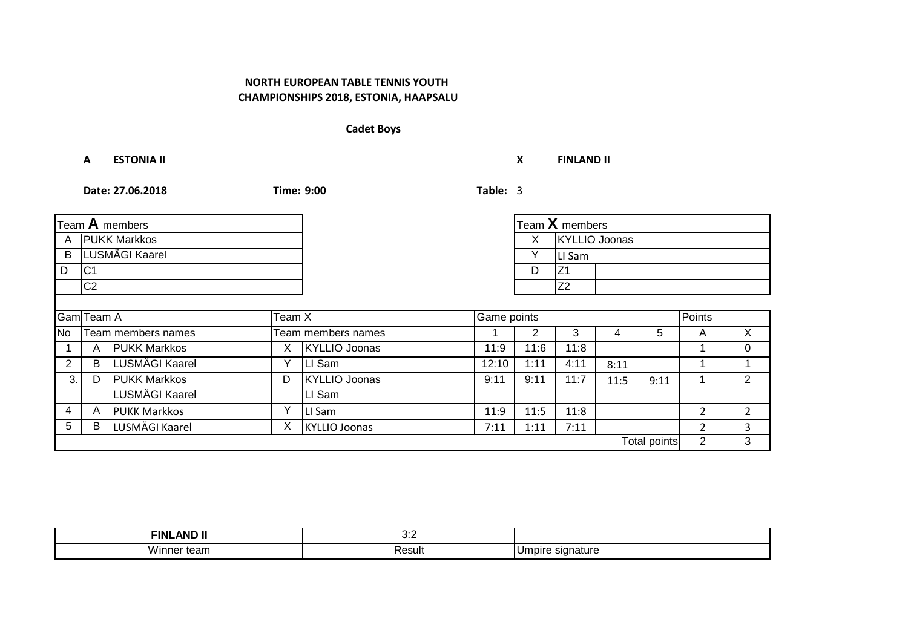# **Cadet Boys**

**A ESTONIA II X FINLAND II**

|                      | Team A members |                     |              |                      |                  |      | Team X members       |      |                     |                |                |  |
|----------------------|----------------|---------------------|--------------|----------------------|------------------|------|----------------------|------|---------------------|----------------|----------------|--|
| A                    |                | <b>PUKK Markkos</b> |              |                      |                  | X    | <b>KYLLIO Joonas</b> |      |                     |                |                |  |
| B                    | LUSMÄGI Kaarel |                     |              |                      |                  | Y    | LI Sam               |      |                     |                |                |  |
| D                    | IC1            |                     |              |                      |                  | D    | Z <sub>1</sub>       |      |                     |                |                |  |
|                      | C <sub>2</sub> |                     |              |                      |                  |      | Z <sub>2</sub>       |      |                     |                |                |  |
|                      |                |                     |              |                      |                  |      |                      |      |                     |                |                |  |
| Gam Team A<br>Team X |                |                     |              | Game points          |                  |      |                      |      |                     | Points         |                |  |
| <b>No</b>            |                | Team members names  |              | Team members names   | 2<br>5<br>3<br>4 |      |                      |      |                     | A              | X              |  |
|                      | A              | <b>PUKK Markkos</b> | X            | <b>KYLLIO Joonas</b> | 11:9             | 11:6 | 11:8                 |      |                     |                | $\Omega$       |  |
| 2                    | B              | LUSMÄGI Kaarel      | $\check{ }$  | LI Sam               | 12:10            | 1:11 | 4:11                 | 8:11 |                     |                |                |  |
| 3.1                  | D              | <b>PUKK Markkos</b> | D            | <b>KYLLIO Joonas</b> | 9:11             | 9:11 | 11:7                 | 11:5 | 9:11                |                | $\overline{2}$ |  |
|                      |                | LUSMÄGI Kaarel      |              | LI Sam               |                  |      |                      |      |                     |                |                |  |
| 4                    | A              | <b>PUKK Markkos</b> | $\checkmark$ | LI Sam               | 11:9             | 11:5 | 11:8                 |      |                     | $\overline{2}$ | $\overline{2}$ |  |
| 5                    | B              | LUSMÄGI Kaarel      | X            | KYLLIO Joonas        | 7:11             | 1:11 | 7:11                 |      |                     | $\overline{2}$ | 3              |  |
|                      |                |                     |              |                      |                  |      |                      |      | <b>Total points</b> | $\overline{2}$ | 3              |  |

| FINL<br>.<br>ANI    | ◡.←         |              |
|---------------------|-------------|--------------|
| .<br>Winner<br>team | १esult<br>. | nature<br>Πn |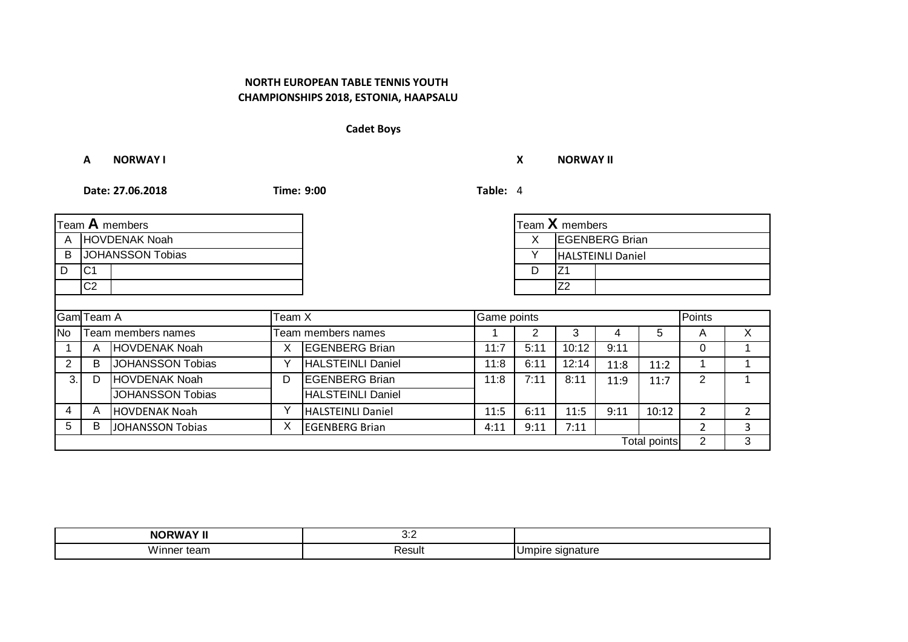# **Cadet Boys**

**A NORWAY I X NORWAY II**

| Team A members |                      |                         |        |                          |             |      | Team X members        |                          |                     |                |                |
|----------------|----------------------|-------------------------|--------|--------------------------|-------------|------|-----------------------|--------------------------|---------------------|----------------|----------------|
| A              | <b>HOVDENAK Noah</b> |                         |        |                          |             | X    | <b>EGENBERG Brian</b> |                          |                     |                |                |
| B              |                      | <b>JOHANSSON Tobias</b> |        |                          |             | Y    |                       | <b>HALSTEINLI Daniel</b> |                     |                |                |
| D              | IC <sub>1</sub>      |                         |        |                          |             | D    | Z <sub>1</sub>        |                          |                     |                |                |
|                | C <sub>2</sub>       |                         |        |                          |             |      | Z <sub>2</sub>        |                          |                     |                |                |
|                |                      |                         |        |                          |             |      |                       |                          |                     |                |                |
|                | Gam Team A           |                         | Team X |                          | Game points |      |                       |                          |                     | Points         |                |
| <b>No</b>      |                      | Team members names      |        | Team members names       |             | 2    | 3                     | 4                        | 5                   | A              | X              |
|                | A                    | <b>HOVDENAK Noah</b>    | X      | <b>EGENBERG Brian</b>    | 11:7        | 5:11 | 10:12                 | 9:11                     |                     | $\Omega$       |                |
| $\overline{2}$ | B                    | JOHANSSON Tobias        | Y      | <b>HALSTEINLI Daniel</b> | 11:8        | 6:11 | 12:14                 | 11:8                     | 11:2                |                |                |
| 3.             | D                    | <b>HOVDENAK Noah</b>    | D      | <b>EGENBERG Brian</b>    | 11:8        | 7:11 | 8:11                  | 11:9                     | 11:7                | $\overline{2}$ |                |
|                |                      | <b>JOHANSSON Tobias</b> |        | <b>HALSTEINLI Daniel</b> |             |      |                       |                          |                     |                |                |
| 4              | A                    | <b>HOVDENAK Noah</b>    | Υ      | <b>HALSTEINLI Daniel</b> | 11:5        | 6:11 | 11:5                  | 9:11                     | 10:12               | $\overline{2}$ | $\overline{2}$ |
| 5              | B                    | JOHANSSON Tobias        | X      | <b>EGENBERG Brian</b>    | 4:11        | 9:11 | 7:11                  |                          |                     | 2              | 3              |
|                |                      |                         |        |                          |             |      |                       |                          | <b>Total points</b> | $\overline{2}$ | 3              |

| . <i>. . .</i><br><b>NORW</b> | <br>v.c            |                                   |
|-------------------------------|--------------------|-----------------------------------|
| .<br>.<br>team<br>'v ır<br>Ic | יההנ<br>≺esun<br>. | <b>IDIT</b><br>าature<br>.<br>. . |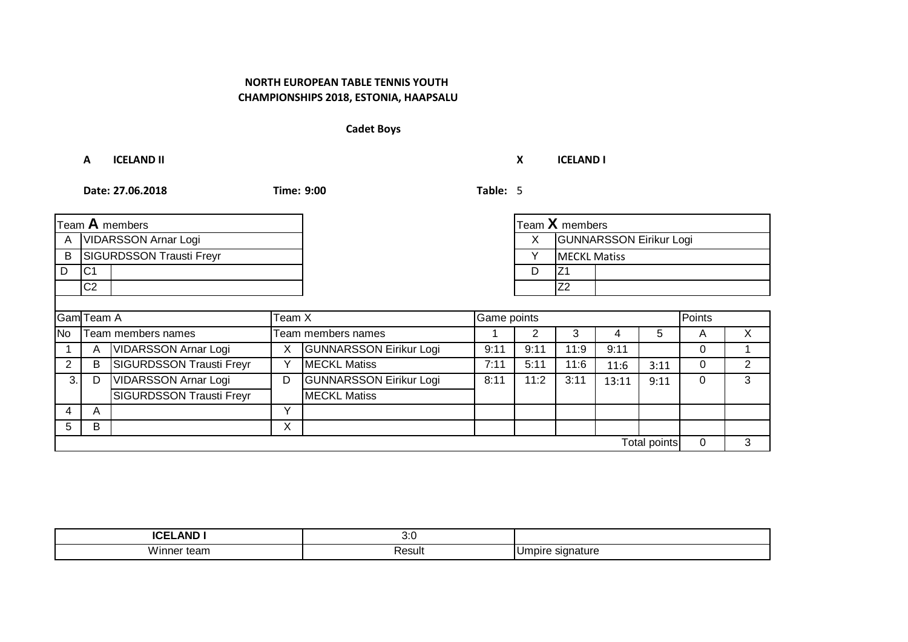# **Cadet Boys**

**A ICELAND II X ICELAND I**

| Team $A$ members          |                |                                 |             |                                |      | Team X members |                                |        |                     |              |   |
|---------------------------|----------------|---------------------------------|-------------|--------------------------------|------|----------------|--------------------------------|--------|---------------------|--------------|---|
| VIDARSSON Arnar Logi<br>Α |                |                                 |             |                                | X    |                | <b>GUNNARSSON Eirikur Logi</b> |        |                     |              |   |
| B                         |                | SIGURDSSON Trausti Freyr        |             |                                |      | Y              | <b>MECKL Matiss</b>            |        |                     |              |   |
| D                         | IC1            |                                 |             |                                |      | D              | Z <sub>1</sub>                 |        |                     |              |   |
|                           | C <sub>2</sub> |                                 |             |                                |      |                | Z2                             |        |                     |              |   |
|                           |                |                                 |             |                                |      |                |                                |        |                     |              |   |
| Gam Team A<br>Team X      |                |                                 | Game points |                                |      |                |                                | Points |                     |              |   |
| <b>No</b>                 |                | Team members names              |             | Team members names             |      | 2              | 3                              |        | 5                   | A            | X |
|                           | A              | <b>VIDARSSON Arnar Logi</b>     | X           | <b>GUNNARSSON Eirikur Logi</b> | 9:11 | 9:11           | 11:9                           | 9:11   |                     | $\Omega$     |   |
| $\overline{2}$            | B              | <b>SIGURDSSON Trausti Freyr</b> | Y           | <b>MECKL Matiss</b>            | 7:11 | 5:11           | 11:6                           | 11:6   | 3:11                | $\mathbf 0$  | 2 |
| 3.1                       | D              | <b>VIDARSSON Arnar Logi</b>     | D           | <b>GUNNARSSON Eirikur Logi</b> | 8:11 | 11:2           | 3:11                           | 13:11  | 9:11                | $\Omega$     | 3 |
|                           |                | <b>SIGURDSSON Trausti Freyr</b> |             | <b>MECKL Matiss</b>            |      |                |                                |        |                     |              |   |
| 4                         | A              |                                 | Υ           |                                |      |                |                                |        |                     |              |   |
| 5                         | В              |                                 | X           |                                |      |                |                                |        |                     |              |   |
|                           |                |                                 |             |                                |      |                |                                |        | <b>Total points</b> | $\mathbf{0}$ | 3 |

| <b>ICE</b><br>.<br>ANL                  | ,,,<br>$\mathsf{U}.\mathsf{U}$ |                                  |
|-----------------------------------------|--------------------------------|----------------------------------|
| .<br>$M$ inn<br>team<br>। ।੮।<br>V V II | Resul<br>.                     | signature<br>ndire<br>.ur<br>. . |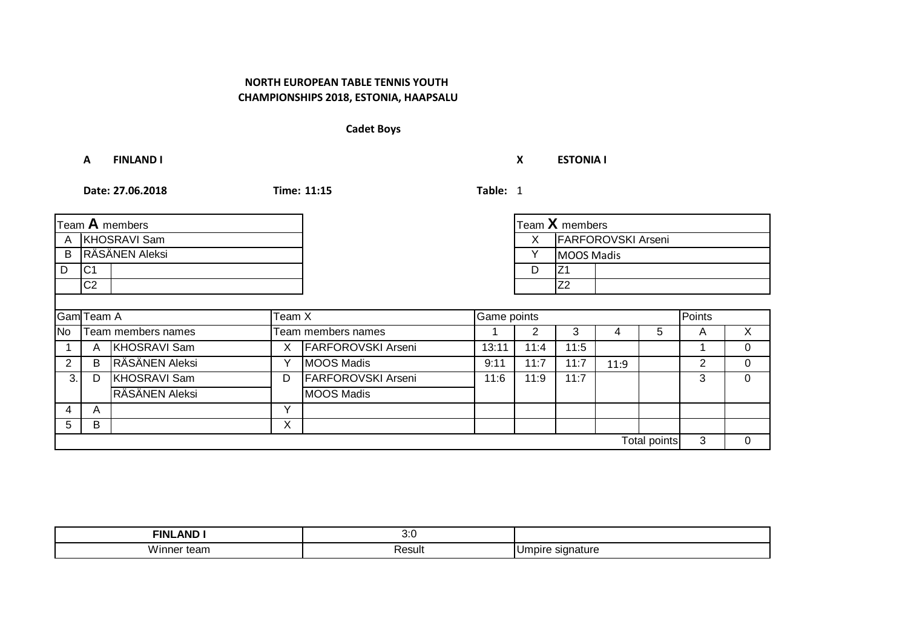# **Cadet Boys**

**A FINLAND I X ESTONIA I**

| Team A members           |                |                     |        |                           |             | Team X members |                           |      |                     |                |              |
|--------------------------|----------------|---------------------|--------|---------------------------|-------------|----------------|---------------------------|------|---------------------|----------------|--------------|
| <b>KHOSRAVI Sam</b><br>A |                |                     |        |                           | X           |                | <b>FARFOROVSKI Arseni</b> |      |                     |                |              |
| B                        |                | RÄSÄNEN Aleksi      |        |                           |             | Y              | <b>MOOS Madis</b>         |      |                     |                |              |
| D                        | IC1            |                     |        |                           |             | D              | IZ1                       |      |                     |                |              |
|                          | C <sub>2</sub> |                     |        |                           |             |                | Z <sub>2</sub>            |      |                     |                |              |
|                          |                |                     |        |                           |             |                |                           |      |                     |                |              |
|                          | Gam Team A     |                     | Team X |                           | Game points |                |                           |      |                     | Points         |              |
| <b>No</b>                |                | Team members names  |        | Team members names        |             | 2              | 3                         | 4    | 5                   | A              | $\mathsf{X}$ |
|                          | A              | KHOSRAVI Sam        | X      | <b>FARFOROVSKI Arseni</b> | 13:11       | 11:4           | 11:5                      |      |                     |                | $\Omega$     |
| 2                        | B              | RÄSÄNEN Aleksi      | Υ      | <b>MOOS Madis</b>         | 9:11        | 11:7           | 11:7                      | 11:9 |                     | $\overline{2}$ | $\Omega$     |
| 3.1                      | D              | <b>KHOSRAVI Sam</b> | D      | <b>FARFOROVSKI Arseni</b> | 11:6        | 11:9           | 11:7                      |      |                     | 3              | $\Omega$     |
|                          |                | RÄSÄNEN Aleksi      |        | <b>MOOS Madis</b>         |             |                |                           |      |                     |                |              |
| 4                        | A              |                     | Υ      |                           |             |                |                           |      |                     |                |              |
| 5.                       | В              |                     | X      |                           |             |                |                           |      |                     |                |              |
|                          |                |                     |        |                           |             |                |                           |      | <b>Total points</b> | 3              | $\Omega$     |

| <b>AND</b><br>FINL         | ,,,<br>v.J |                  |
|----------------------------|------------|------------------|
| .<br>Wir<br>∵tean.<br>nnei | ≺esult     | паште<br>$\cdot$ |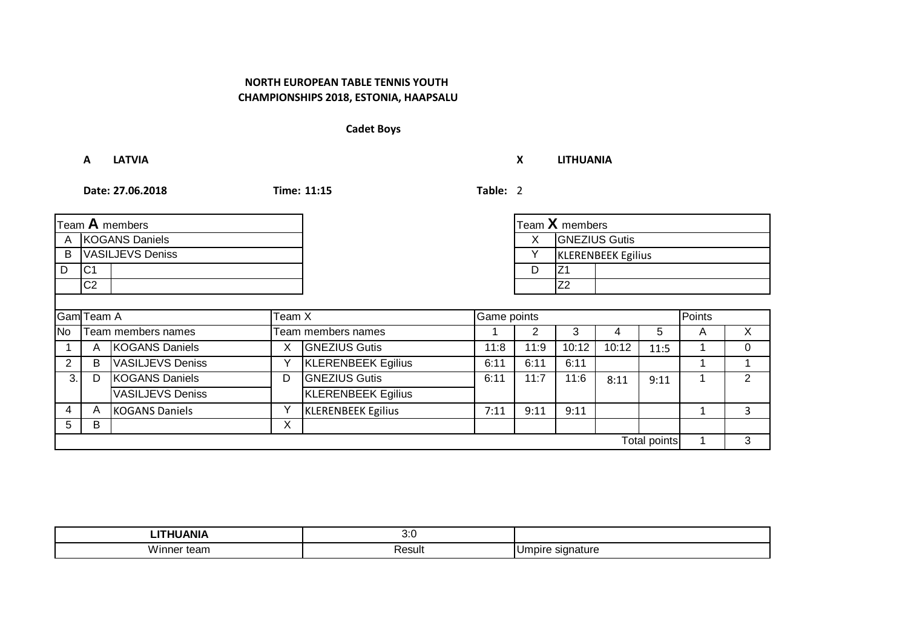# **Cadet Boys**

**A LATVIA X LITHUANIA**

| Team A members |                       |                         |             |                           |             | Team X members |                |                           |                     |        |                |
|----------------|-----------------------|-------------------------|-------------|---------------------------|-------------|----------------|----------------|---------------------------|---------------------|--------|----------------|
| Α              | <b>KOGANS Daniels</b> |                         |             |                           |             | X              |                | <b>GNEZIUS Gutis</b>      |                     |        |                |
| В              |                       | VASILJEVS Deniss        |             |                           |             |                |                | <b>KLERENBEEK Egilius</b> |                     |        |                |
| D              | IC1                   |                         |             |                           |             | D              | Z <sub>1</sub> |                           |                     |        |                |
|                | C <sub>2</sub>        |                         |             |                           |             |                | Z <sub>2</sub> |                           |                     |        |                |
|                |                       |                         |             |                           |             |                |                |                           |                     |        |                |
|                | <b>Gam</b> Team A     |                         | Team X      |                           | Game points |                |                |                           |                     | Points |                |
| <b>No</b>      |                       | Team members names      |             | Team members names        |             | 2              | 3              | 4                         | 5                   | A      | X              |
|                | A                     | KOGANS Daniels          | X           | <b>GNEZIUS Gutis</b>      | 11:8        | 11:9           | 10:12          | 10:12                     | 11:5                |        | $\Omega$       |
| 2              | B                     | <b>VASILJEVS Deniss</b> | $\check{ }$ | <b>KLERENBEEK Egilius</b> | 6:11        | 6:11           | 6:11           |                           |                     |        |                |
| 3.1            | D                     | <b>KOGANS Daniels</b>   | D           | <b>GNEZIUS Gutis</b>      | 6:11        | 11:7           | 11:6           | 8:11                      | 9:11                |        | $\overline{2}$ |
|                |                       | <b>VASILJEVS Deniss</b> |             | <b>KLERENBEEK Egilius</b> |             |                |                |                           |                     |        |                |
| 4              | A                     | <b>KOGANS Daniels</b>   | Υ           | <b>KLERENBEEK Egilius</b> | 7:11        | 9:11           | 9:11           |                           |                     |        | 3              |
| 5              | B                     |                         | X           |                           |             |                |                |                           |                     |        |                |
|                |                       |                         |             |                           |             |                |                |                           | <b>Total points</b> |        | 3              |

| ---------<br>. .<br>w<br>- 1 | .<br>v.J           |                                   |
|------------------------------|--------------------|-----------------------------------|
| ∵ tean.<br>ıneı              | י הרי<br>אוµכ<br>. | ature<br>idire<br>ושו<br>.<br>. . |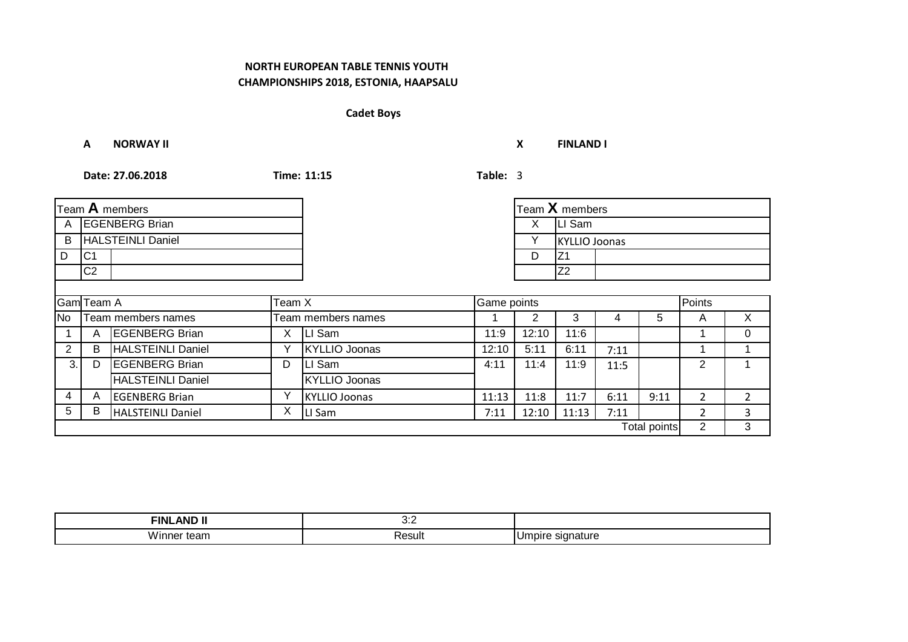**Cadet Boys**

**A NORWAY II X FINLAND I**

| Team $A$ members    |                 |                          |             |                      |                  | Team $X$ members |                      |      |                     |                |          |
|---------------------|-----------------|--------------------------|-------------|----------------------|------------------|------------------|----------------------|------|---------------------|----------------|----------|
| A                   |                 | <b>EGENBERG Brian</b>    |             |                      |                  | X                | LI Sam               |      |                     |                |          |
| B                   |                 | HALSTEINLI Daniel        |             |                      |                  | Y                | <b>KYLLIO Joonas</b> |      |                     |                |          |
| D                   | IC <sub>1</sub> |                          |             |                      |                  | D                | Z <sub>1</sub>       |      |                     |                |          |
|                     | C <sub>2</sub>  |                          |             |                      |                  |                  | Z <sub>2</sub>       |      |                     |                |          |
|                     |                 |                          |             |                      |                  |                  |                      |      |                     |                |          |
| GamTeam A<br>Team X |                 |                          | Game points | Points               |                  |                  |                      |      |                     |                |          |
| <b>No</b>           |                 | Team members names       |             | Team members names   | 3<br>2<br>5<br>4 |                  |                      |      | A                   | X              |          |
|                     | A               | <b>EGENBERG Brian</b>    | X           | LI Sam               | 11:9             | 12:10            | 11:6                 |      |                     |                | $\Omega$ |
| 2                   | B               | <b>HALSTEINLI Daniel</b> | Y           | <b>KYLLIO Joonas</b> | 12:10            | 5:11             | 6:11                 | 7:11 |                     |                |          |
| 3.                  | D               | <b>EGENBERG Brian</b>    | D           | LI Sam               | 4:11             | 11:4             | 11:9                 | 11:5 |                     | 2              |          |
|                     |                 | <b>HALSTEINLI Daniel</b> |             | <b>KYLLIO Joonas</b> |                  |                  |                      |      |                     |                |          |
| 4                   | A               | <b>EGENBERG Brian</b>    | Y           | <b>KYLLIO Joonas</b> | 11:13            | 11:8             | 11:7                 | 6:11 | 9:11                | $\overline{2}$ | 2        |
| 5                   | B               | <b>HALSTEINLI Daniel</b> | Х           | LI Sam               | 7:11             | 12:10            | 11:13                | 7:11 |                     | $\overline{2}$ | 3        |
|                     |                 |                          |             |                      |                  |                  |                      |      | <b>Total points</b> | $\overline{2}$ | 3        |

| --<br>$\sim$ $\sim$ $\sim$<br>$T$ $N$<br>_AN' | ◡…<br>__                 |       |
|-----------------------------------------------|--------------------------|-------|
| <br>ean<br>ш                                  | ''~~'<br>sur<br>$     -$ | ----- |